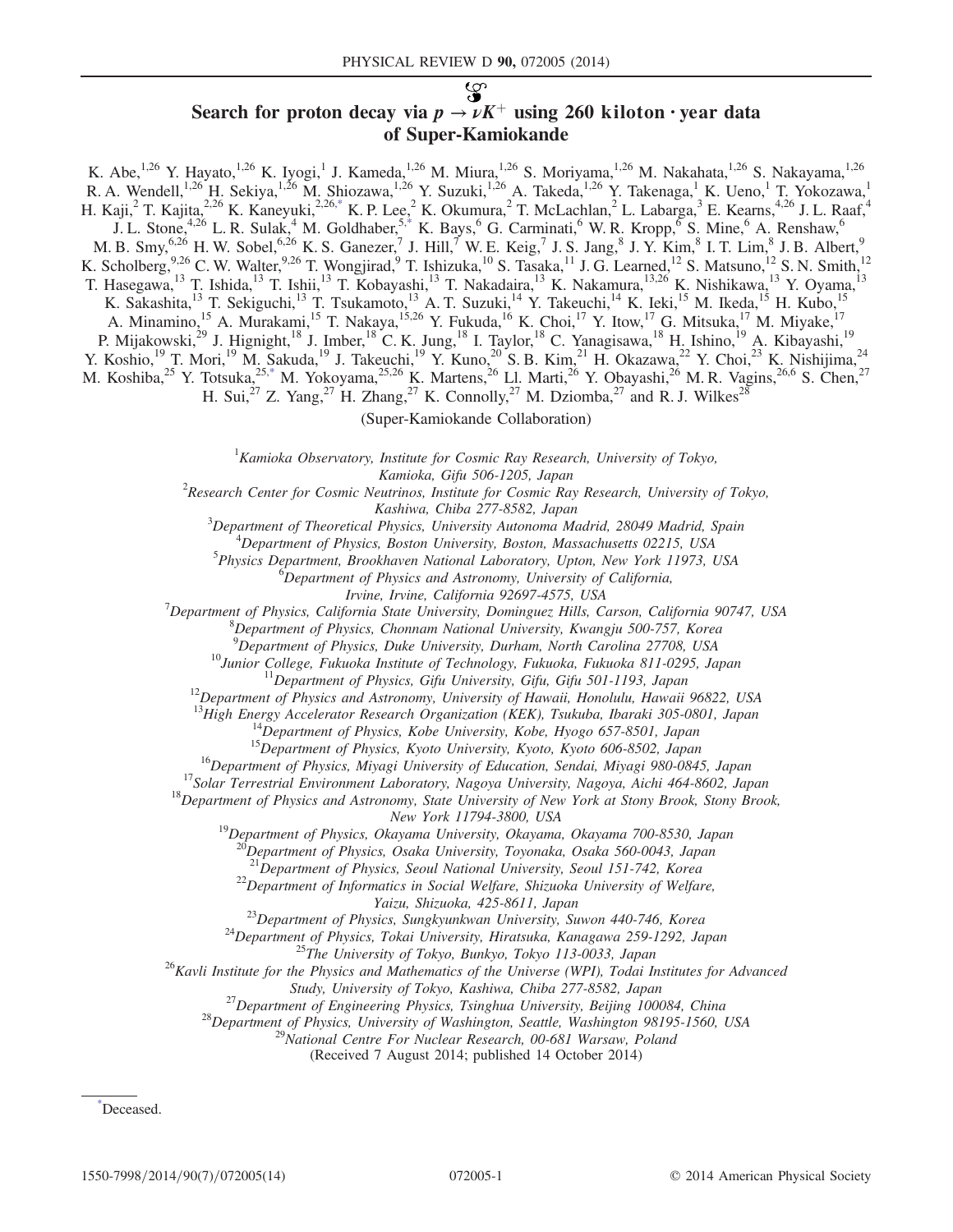# بعي

# Search for proton decay via  $p \rightarrow \nu K^{+}$  using 260 kiloton · year data of Super-Kamiokande

K. Abe,<sup>1,26</sup> Y. Hayato,<sup>1,26</sup> K. Iyogi,<sup>1</sup> J. Kameda,<sup>1,26</sup> M. Miura,<sup>1,26</sup> S. Moriyama,<sup>1,26</sup> M. Nakahata,<sup>1,26</sup> S. Nakayama,<sup>1,26</sup> R. A. Wendell,<sup>1,26</sup> H. Sekiya,<sup>1,26</sup> M. Shiozawa,<sup>1,26</sup> Y. Suzuki,<sup>1,26</sup> A. Takeda,<sup>1,26</sup> Y. Takenaga,<sup>1</sup> K. Ueno,<sup>1</sup> T. Yokozawa,<sup>1</sup> H. Kaji,<sup>2</sup> T. Kajita,<sup>2,26</sup> K. Kaneyuki,<sup>2,2[6,\\*](#page-0-0)</sup> K. P. Lee,<sup>2</sup> K. Okumura,<sup>2</sup> T. McLachlan,<sup>2</sup> L. Labarga,<sup>3</sup> E. Kearns,<sup>4,26</sup> J. L. Raaf,<sup>4</sup> J. L. Stone,<sup>4,26</sup> L. R. Sulak,<sup>4</sup> M. Goldhaber,<sup>5[,\\*](#page-0-0)</sup> K. Bays,<sup>6</sup> G. Carminati,<sup>6</sup> W. R. Kropp,<sup>6</sup> S. Mine,<sup>6</sup> A. Renshaw,<sup>6</sup> M. B. Smy,  $^{6,26}$  H. W. Sobel,  $^{6,26}$  K. S. Ganezer, I. Hill, W. E. Keig, I. S. Jang,  $^8$  J. Y. Kim,  $^8$  I. T. Lim,  $^8$  J. B. Albert, K. Scholberg,  $9,26$  C. W. Walter,  $9,26$  T. Wongjirad,  $9$  T. Ishizuka,  $^{10}$  S. Tasaka,  $^{11}$  J. G. Learned,  $^{12}$  S. Matsuno,  $^{12}$  S. N. Smith,  $^{12}$ T. Hasegawa,<sup>13</sup> T. Ishida,<sup>13</sup> T. Ishii,<sup>13</sup> T. Kobayashi,<sup>13</sup> T. Nakadaira,<sup>13</sup> K. Nakamura,<sup>13,26</sup> K. Nishikawa,<sup>13</sup> Y. Oyama,<sup>13</sup> K. Sakashita,<sup>13</sup> T. Sekiguchi,<sup>13</sup> T. Tsukamoto,<sup>13</sup> A. T. Suzuki,<sup>14</sup> Y. Takeuchi,<sup>14</sup> K. Ieki,<sup>15</sup> M. Ikeda,<sup>15</sup> H. Kubo,<sup>15</sup> A. Minamino,<sup>15</sup> A. Murakami,<sup>15</sup> T. Nakaya,<sup>15,26</sup> Y. Fukuda,<sup>16</sup> K. Choi,<sup>17</sup> Y. Itow,<sup>17</sup> G. Mitsuka,<sup>17</sup> M. Miyake,<sup>17</sup> P. Mijakowski,<sup>29</sup> J. Hignight,<sup>18</sup> J. Imber,<sup>18</sup> C. K. Jung,<sup>18</sup> I. Taylor,<sup>18</sup> C. Yanagisawa,<sup>18</sup> H. Ishino,<sup>19</sup> A. Kibayashi,<sup>19</sup> Y. Koshio,<sup>19</sup> T. Mori,<sup>19</sup> M. Sakuda,<sup>19</sup> J. Takeuchi,<sup>19</sup> Y. Kuno,<sup>20</sup> S. B. Kim,<sup>21</sup> H. Okazawa,<sup>22</sup> Y. Choi,<sup>23</sup> K. Nishijima,<sup>24</sup> M. Koshiba,<sup>25</sup> Y. Totsuka,<sup>2[5,\\*](#page-0-0)</sup> M. Yokoyama,<sup>25,26</sup> K. Martens,<sup>26</sup> Ll. Marti,<sup>26</sup> Y. Obayashi,<sup>26</sup> M. R. Vagins,<sup>26,6</sup> S. Chen,<sup>27</sup> H. Sui,<sup>27</sup> Z. Yang,<sup>27</sup> H. Zhang,<sup>27</sup> K. Connolly,<sup>27</sup> M. Dziomba,<sup>27</sup> and R. J. Wilkes<sup>28</sup>

(Super-Kamiokande Collaboration)

 ${}^{1}$ Kamioka Observatory, Institute for Cosmic Ray Research, University of Tokyo,

<span id="page-0-1"></span>Kamioka, Gifu 506-1205, Japan<br><sup>2</sup>Research Center for Cosmic Neutrinos, Institute for Cosmic Ray Research, University of Tokyo,

Kashiwa, Chiba 277-8582, Japan<br><sup>3</sup>Department of Theoretical Physics, University Autonoma M Department of Theoretical Physics, University Autonoma Madrid, 28049 Madrid, Spain <sup>4</sup>

<sup>4</sup>Department of Physics, Boston University, Boston, Massachusetts 02215, USA

 $^{5}$ Physics Department, Brookhaven National Laboratory, Upton, New York 11973, USA

<sup>6</sup>Department of Physics and Astronomy, University of California,

Irvine, Irvine, California 92697-4575, USA<br><sup>7</sup> Department of Physics, California State University, Dominauga Hills, C

Department of Physics, California State University, Dominguez Hills, Carson, California 90747, USA<br><sup>8</sup> Department of Physics, Channam National University, Kuanaju 500,757, Kanaa

 ${}^{8}$ Department of Physics, Chonnam National University, Kwangju 500-757, Korea

<sup>9</sup>Department of Physics, Duke University, Durham, North Carolina 27708, USA

<sup>10</sup>Junior College, Fukuoka Institute of Technology, Fukuoka, Fukuoka 811-0295, Japan<br><sup>11</sup>Department of Physics, Gifu University, Gifu, Gifu 501-1193, Japan<br><sup>12</sup>Department of Physics and Astronomy, University of Hawaii, H

<sup>13</sup>High Energy Accelerator Research Organization (KEK), Tsukuba, Ibaraki 305-0801, Japan<br><sup>14</sup>Department of Physics, Kobe University, Kobe, Hyogo 657-8501, Japan<br><sup>15</sup>Department of Physics, Kyoto University, Kyoto, Kyoto 6

New York 11794-3800, USA<br><sup>19</sup>Department of Physics, Okayama University, Okayama, Okayama 700-8530, Japan

<sup>20</sup>Department of Physics, Osaka University, Toyonaka, Osaka 560-0043, Japan

<sup>21</sup>Department of Physics, Seoul National University, Seoul 151-742, Korea  $^{22}$ Department of Informatics in Social Welfare, Shizuoka University of Welfare,

Yaizu, Shizuoka, 425-8611, Japan<br><sup>23</sup>Department of Physics, Sungkyunkwan University, Suwon 440-746, Korea<br><sup>24</sup>Department of Physics, Tokai University, Hiratsuka, Kanagawa 259-1292, Japan<br><sup>25</sup>The University of Tokyo, Bunkyo

Study, University of Tokyo, Kashiwa, Chiba 277-8582, Japan<br><sup>27</sup> Department of Engineering Physics, Tsinghua University, Beijing 100084, China<br><sup>28</sup> Department of Physics, University of Washington, Seattle, Washington 98195-

(Received 7 August 2014; published 14 October 2014)

<span id="page-0-0"></span>[\\*](#page-0-1) Deceased.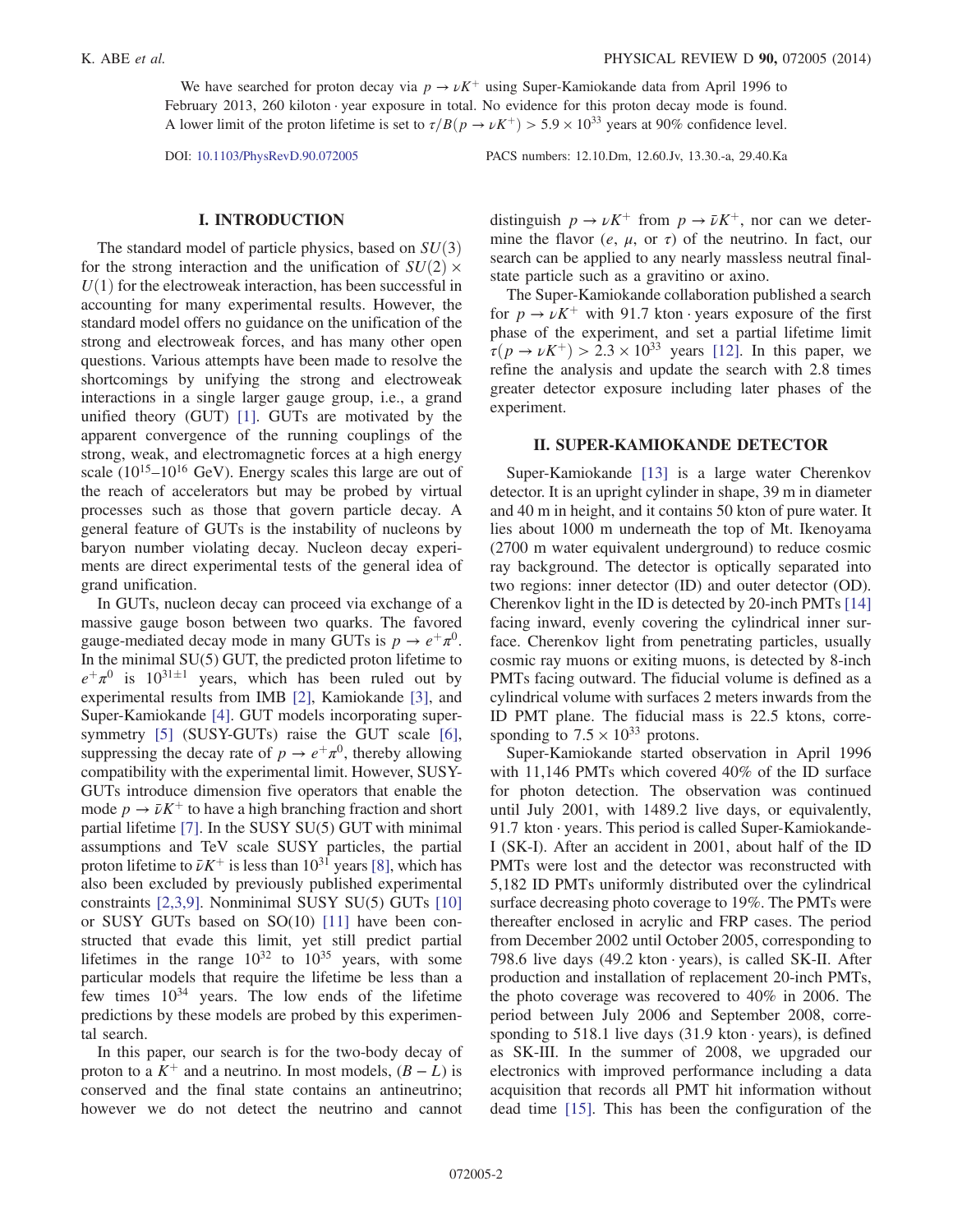We have searched for proton decay via  $p \to \nu K^+$  using Super-Kamiokande data from April 1996 to February 2013, 260 kiloton · year exposure in total. No evidence for this proton decay mode is found. A lower limit of the proton lifetime is set to  $\tau/B(p \to \nu K^+) > 5.9 \times 10^{33}$  years at 90% confidence level.

DOI: [10.1103/PhysRevD.90.072005](http://dx.doi.org/10.1103/PhysRevD.90.072005) PACS numbers: 12.10.Dm, 12.60.Jv, 13.30.-a, 29.40.Ka

#### I. INTRODUCTION

The standard model of particle physics, based on  $SU(3)$ for the strong interaction and the unification of  $SU(2)$  ×  $U(1)$  for the electroweak interaction, has been successful in accounting for many experimental results. However, the standard model offers no guidance on the unification of the strong and electroweak forces, and has many other open questions. Various attempts have been made to resolve the shortcomings by unifying the strong and electroweak interactions in a single larger gauge group, i.e., a grand unified theory (GUT) [\[1\].](#page-12-0) GUTs are motivated by the apparent convergence of the running couplings of the strong, weak, and electromagnetic forces at a high energy scale  $(10^{15}-10^{16} \text{ GeV})$ . Energy scales this large are out of the reach of accelerators but may be probed by virtual processes such as those that govern particle decay. A general feature of GUTs is the instability of nucleons by baryon number violating decay. Nucleon decay experiments are direct experimental tests of the general idea of grand unification.

In GUTs, nucleon decay can proceed via exchange of a massive gauge boson between two quarks. The favored gauge-mediated decay mode in many GUTs is  $p \to e^+ \pi^0$ . In the minimal SU(5) GUT, the predicted proton lifetime to  $e^{+}\pi^{0}$  is  $10^{31\pm1}$  years, which has been ruled out by experimental results from IMB [\[2\]](#page-12-1), Kamiokande [\[3\],](#page-12-2) and Super-Kamiokande [\[4\]](#page-12-3). GUT models incorporating super-symmetry [\[5\]](#page-12-4) (SUSY-GUTs) raise the GUT scale [\[6\]](#page-12-5), suppressing the decay rate of  $p \to e^+ \pi^0$ , thereby allowing compatibility with the experimental limit. However, SUSY-GUTs introduce dimension five operators that enable the mode  $p \to \bar{\nu} K^{+}$  to have a high branching fraction and short partial lifetime [\[7\].](#page-12-6) In the SUSY SU(5) GUT with minimal assumptions and TeV scale SUSY particles, the partial proton lifetime to  $\bar{\nu}K^+$  is less than  $10^{31}$  years [\[8\],](#page-12-7) which has also been excluded by previously published experimental constraints [\[2,3,9\]](#page-12-1). Nonminimal SUSY SU(5) GUTs [\[10\]](#page-12-8) or SUSY GUTs based on SO(10) [\[11\]](#page-12-9) have been constructed that evade this limit, yet still predict partial lifetimes in the range  $10^{32}$  to  $10^{35}$  years, with some particular models that require the lifetime be less than a few times  $10^{34}$  years. The low ends of the lifetime predictions by these models are probed by this experimental search.

In this paper, our search is for the two-body decay of proton to a  $K^+$  and a neutrino. In most models,  $(B - L)$  is conserved and the final state contains an antineutrino; however we do not detect the neutrino and cannot

distinguish  $p \to \nu K^+$  from  $p \to \bar{\nu} K^+$ , nor can we determine the flavor  $(e, \mu, \text{ or } \tau)$  of the neutrino. In fact, our search can be applied to any nearly massless neutral finalstate particle such as a gravitino or axino.

The Super-Kamiokande collaboration published a search for  $p \to \nu K^+$  with 91.7 kton · years exposure of the first phase of the experiment, and set a partial lifetime limit  $\tau(p \to \nu K^+) > 2.3 \times 10^{33}$  years [\[12\]](#page-12-10). In this paper, we refine the analysis and update the search with 2.8 times greater detector exposure including later phases of the experiment.

### II. SUPER-KAMIOKANDE DETECTOR

Super-Kamiokande [\[13\]](#page-12-11) is a large water Cherenkov detector. It is an upright cylinder in shape, 39 m in diameter and 40 m in height, and it contains 50 kton of pure water. It lies about 1000 m underneath the top of Mt. Ikenoyama (2700 m water equivalent underground) to reduce cosmic ray background. The detector is optically separated into two regions: inner detector (ID) and outer detector (OD). Cherenkov light in the ID is detected by 20-inch PMTs [\[14\]](#page-12-12) facing inward, evenly covering the cylindrical inner surface. Cherenkov light from penetrating particles, usually cosmic ray muons or exiting muons, is detected by 8-inch PMTs facing outward. The fiducial volume is defined as a cylindrical volume with surfaces 2 meters inwards from the ID PMT plane. The fiducial mass is 22.5 ktons, corresponding to  $7.5 \times 10^{33}$  protons.

Super-Kamiokande started observation in April 1996 with 11,146 PMTs which covered 40% of the ID surface for photon detection. The observation was continued until July 2001, with 1489.2 live days, or equivalently, 91.7 kton  $\cdot$  years. This period is called Super-Kamiokande-I (SK-I). After an accident in 2001, about half of the ID PMTs were lost and the detector was reconstructed with 5,182 ID PMTs uniformly distributed over the cylindrical surface decreasing photo coverage to 19%. The PMTs were thereafter enclosed in acrylic and FRP cases. The period from December 2002 until October 2005, corresponding to 798.6 live days  $(49.2 \text{ kton} \cdot \text{years})$ , is called SK-II. After production and installation of replacement 20-inch PMTs, the photo coverage was recovered to 40% in 2006. The period between July 2006 and September 2008, corresponding to 518.1 live days  $(31.9 \text{ kton} \cdot \text{years})$ , is defined as SK-III. In the summer of 2008, we upgraded our electronics with improved performance including a data acquisition that records all PMT hit information without dead time [\[15\]](#page-12-13). This has been the configuration of the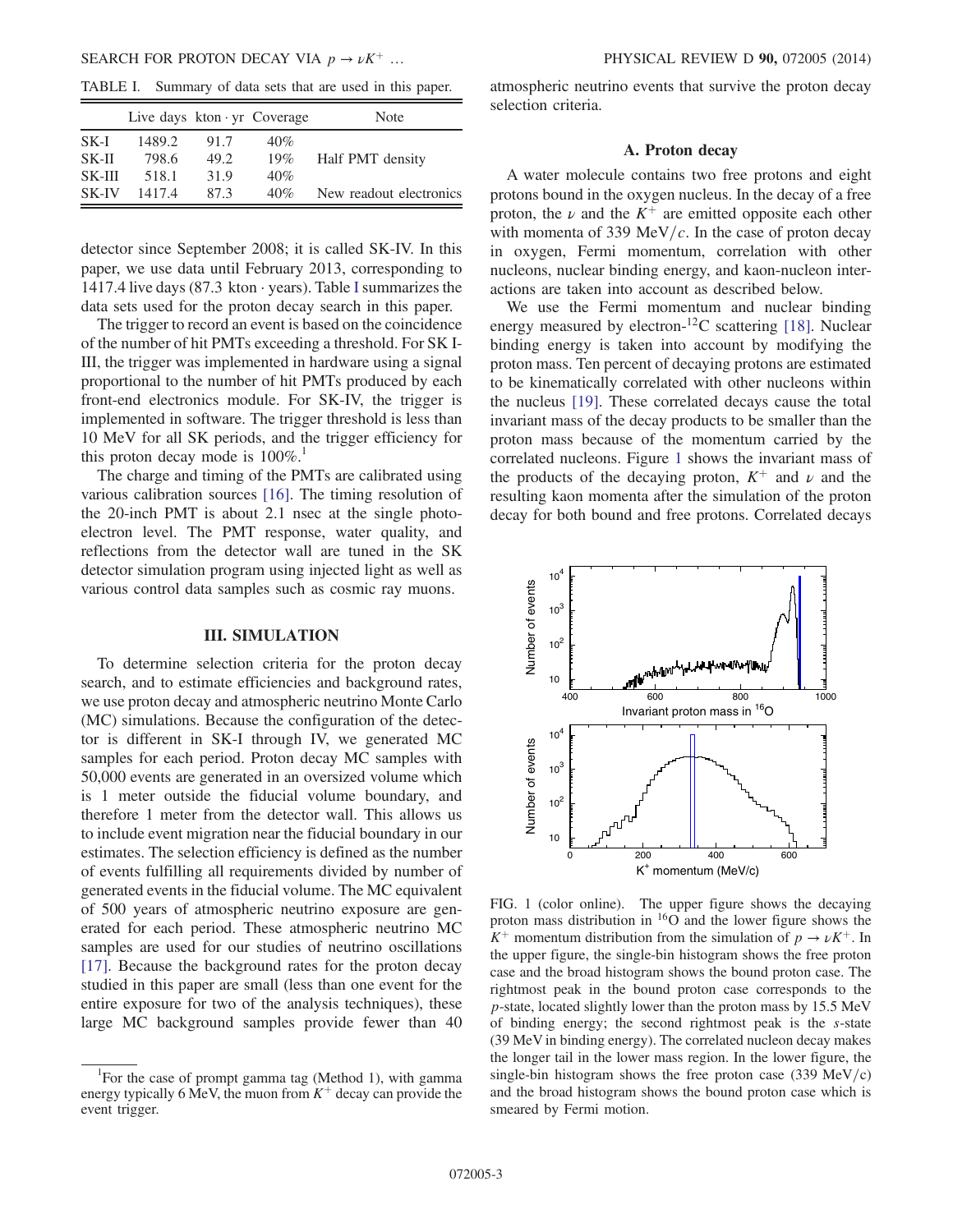<span id="page-2-0"></span>TABLE I. Summary of data sets that are used in this paper.

|          | Live days $kton \cdot yr$ Coverage |      |     | Note                    |
|----------|------------------------------------|------|-----|-------------------------|
| SK-I     | 1489.2                             | 91.7 | 40% |                         |
| $SK-III$ | 798.6                              | 49.2 | 19% | Half PMT density        |
| $SK-III$ | 518.1                              | 31.9 | 40% |                         |
| SK-IV    | 14174                              | 87.3 | 40% | New readout electronics |

detector since September 2008; it is called SK-IV. In this paper, we use data until February 2013, corresponding to 1417.4 live days (87.3 kton  $\cdot$  years). Table [I](#page-2-0) summarizes the data sets used for the proton decay search in this paper.

The trigger to record an event is based on the coincidence of the number of hit PMTs exceeding a threshold. For SK I-III, the trigger was implemented in hardware using a signal proportional to the number of hit PMTs produced by each front-end electronics module. For SK-IV, the trigger is implemented in software. The trigger threshold is less than 10 MeV for all SK periods, and the trigger efficiency for this proton decay mode is  $100\%$ .<sup>1</sup>

The charge and timing of the PMTs are calibrated using various calibration sources [\[16\]](#page-12-14). The timing resolution of the 20-inch PMT is about 2.1 nsec at the single photoelectron level. The PMT response, water quality, and reflections from the detector wall are tuned in the SK detector simulation program using injected light as well as various control data samples such as cosmic ray muons.

#### III. SIMULATION

To determine selection criteria for the proton decay search, and to estimate efficiencies and background rates, we use proton decay and atmospheric neutrino Monte Carlo (MC) simulations. Because the configuration of the detector is different in SK-I through IV, we generated MC samples for each period. Proton decay MC samples with 50,000 events are generated in an oversized volume which is 1 meter outside the fiducial volume boundary, and therefore 1 meter from the detector wall. This allows us to include event migration near the fiducial boundary in our estimates. The selection efficiency is defined as the number of events fulfilling all requirements divided by number of generated events in the fiducial volume. The MC equivalent of 500 years of atmospheric neutrino exposure are generated for each period. These atmospheric neutrino MC samples are used for our studies of neutrino oscillations [\[17\]](#page-12-15). Because the background rates for the proton decay studied in this paper are small (less than one event for the entire exposure for two of the analysis techniques), these large MC background samples provide fewer than 40

atmospheric neutrino events that survive the proton decay selection criteria.

#### A. Proton decay

A water molecule contains two free protons and eight protons bound in the oxygen nucleus. In the decay of a free proton, the  $\nu$  and the  $K^+$  are emitted opposite each other with momenta of 339 MeV/ $c$ . In the case of proton decay in oxygen, Fermi momentum, correlation with other nucleons, nuclear binding energy, and kaon-nucleon interactions are taken into account as described below.

We use the Fermi momentum and nuclear binding energy measured by electron-<sup>12</sup>C scattering [\[18\].](#page-12-16) Nuclear binding energy is taken into account by modifying the proton mass. Ten percent of decaying protons are estimated to be kinematically correlated with other nucleons within the nucleus [\[19\].](#page-12-17) These correlated decays cause the total invariant mass of the decay products to be smaller than the proton mass because of the momentum carried by the correlated nucleons. Figure [1](#page-2-1) shows the invariant mass of the products of the decaying proton,  $K^+$  and  $\nu$  and the resulting kaon momenta after the simulation of the proton decay for both bound and free protons. Correlated decays

<span id="page-2-1"></span>

FIG. 1 (color online). The upper figure shows the decaying proton mass distribution in <sup>16</sup>O and the lower figure shows the  $K^+$  momentum distribution from the simulation of  $p \to \nu K^+$ . In the upper figure, the single-bin histogram shows the free proton case and the broad histogram shows the bound proton case. The rightmost peak in the bound proton case corresponds to the p-state, located slightly lower than the proton mass by 15.5 MeV of binding energy; the second rightmost peak is the s-state (39 MeV in binding energy). The correlated nucleon decay makes the longer tail in the lower mass region. In the lower figure, the single-bin histogram shows the free proton case  $(339 \text{ MeV/c})$ and the broad histogram shows the bound proton case which is smeared by Fermi motion.

<sup>&</sup>lt;sup>1</sup>For the case of prompt gamma tag (Method 1), with gamma energy typically 6 MeV, the muon from  $K^+$  decay can provide the event trigger.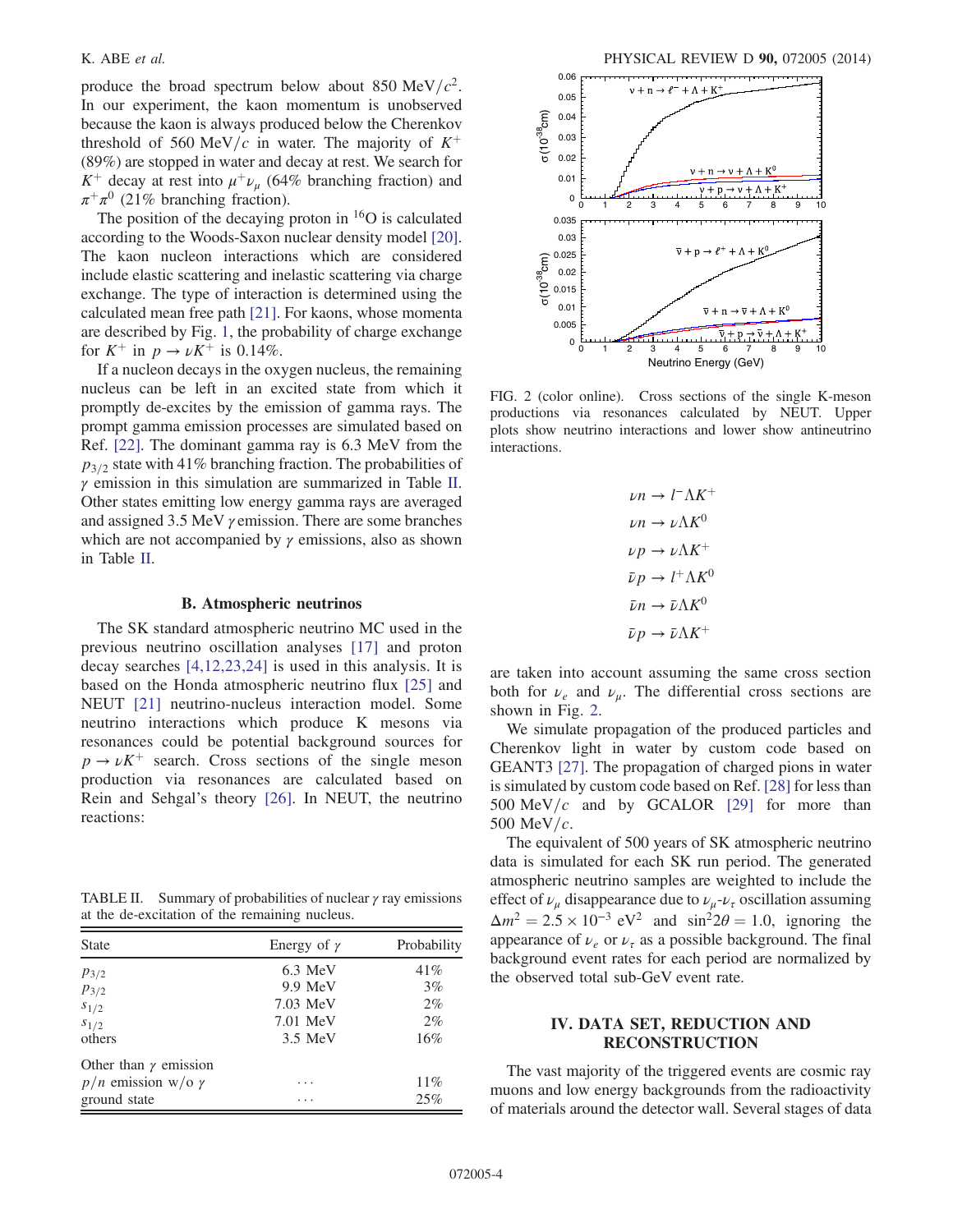produce the broad spectrum below about 850 MeV/ $c^2$ . In our experiment, the kaon momentum is unobserved because the kaon is always produced below the Cherenkov threshold of 560 MeV/c in water. The majority of  $K^+$ (89%) are stopped in water and decay at rest. We search for  $K^+$  decay at rest into  $\mu^+ \nu_\mu$  (64% branching fraction) and  $\pi^{+}\pi^{0}$  (21% branching fraction).

The position of the decaying proton in  ${}^{16}O$  is calculated according to the Woods-Saxon nuclear density model [\[20\]](#page-12-18). The kaon nucleon interactions which are considered include elastic scattering and inelastic scattering via charge exchange. The type of interaction is determined using the calculated mean free path [\[21\].](#page-12-19) For kaons, whose momenta are described by Fig. [1](#page-2-1), the probability of charge exchange for  $K^+$  in  $p \to \nu K^+$  is 0.14%.

If a nucleon decays in the oxygen nucleus, the remaining nucleus can be left in an excited state from which it promptly de-excites by the emission of gamma rays. The prompt gamma emission processes are simulated based on Ref. [\[22\]](#page-12-20). The dominant gamma ray is 6.3 MeV from the  $p_{3/2}$  state with 41% branching fraction. The probabilities of  $\gamma$  emission in this simulation are summarized in Table [II](#page-3-0). Other states emitting low energy gamma rays are averaged and assigned 3.5 MeV γ emission. There are some branches which are not accompanied by  $\gamma$  emissions, also as shown in Table [II](#page-3-0).

#### B. Atmospheric neutrinos

The SK standard atmospheric neutrino MC used in the previous neutrino oscillation analyses [\[17\]](#page-12-15) and proton decay searches [\[4,12,23,24\]](#page-12-3) is used in this analysis. It is based on the Honda atmospheric neutrino flux [\[25\]](#page-13-0) and NEUT [\[21\]](#page-12-19) neutrino-nucleus interaction model. Some neutrino interactions which produce K mesons via resonances could be potential background sources for  $p \rightarrow \nu K^{+}$  search. Cross sections of the single meson production via resonances are calculated based on Rein and Sehgal's theory [\[26\].](#page-13-1) In NEUT, the neutrino reactions:

<span id="page-3-0"></span>TABLE II. Summary of probabilities of nuclear  $\gamma$  ray emissions at the de-excitation of the remaining nucleus.

| <b>State</b>                 | Energy of $\gamma$ | Probability |
|------------------------------|--------------------|-------------|
| $p_{3/2}$                    | $6.3$ MeV          | 41%         |
| $p_{3/2}$                    | 9.9 MeV            | $3\%$       |
| $s_{1/2}$                    | 7.03 MeV           | $2\%$       |
| $s_{1/2}$                    | 7.01 MeV           | $2\%$       |
| others                       | 3.5 MeV            | $16\%$      |
| Other than $\gamma$ emission |                    |             |
| $p/n$ emission w/o $\gamma$  | .                  | 11%         |
| ground state                 | .                  | 25%         |

<span id="page-3-1"></span>

FIG. 2 (color online). Cross sections of the single K-meson productions via resonances calculated by NEUT. Upper plots show neutrino interactions and lower show antineutrino interactions.

 $\nu n \to l^- \Lambda K^+$  $\nu n \rightarrow \nu \Lambda K^0$  $\nu p \rightarrow \nu \Lambda K^+$  $\bar{\nu}p \to l^+ \Lambda K^0$  $\bar{\nu}n \to \bar{\nu} \Lambda K^0$  $\bar{\nu}p \rightarrow \bar{\nu} \Lambda K^+$ 

are taken into account assuming the same cross section both for  $\nu_e$  and  $\nu_\mu$ . The differential cross sections are shown in Fig. [2](#page-3-1).

We simulate propagation of the produced particles and Cherenkov light in water by custom code based on GEANT3 [\[27\].](#page-13-2) The propagation of charged pions in water is simulated by custom code based on Ref. [\[28\]](#page-13-3) for less than 500 MeV/c and by GCALOR [\[29\]](#page-13-4) for more than 500 MeV/ $c$ .

The equivalent of 500 years of SK atmospheric neutrino data is simulated for each SK run period. The generated atmospheric neutrino samples are weighted to include the effect of  $\nu_{\mu}$  disappearance due to  $\nu_{\mu}$ - $\nu_{\tau}$  oscillation assuming  $\Delta m^2 = 2.5 \times 10^{-3} \text{ eV}^2$  and  $\sin^2 2\theta = 1.0$ , ignoring the appearance of  $\nu_e$  or  $\nu_{\tau}$  as a possible background. The final background event rates for each period are normalized by the observed total sub-GeV event rate.

# IV. DATA SET, REDUCTION AND RECONSTRUCTION

The vast majority of the triggered events are cosmic ray muons and low energy backgrounds from the radioactivity of materials around the detector wall. Several stages of data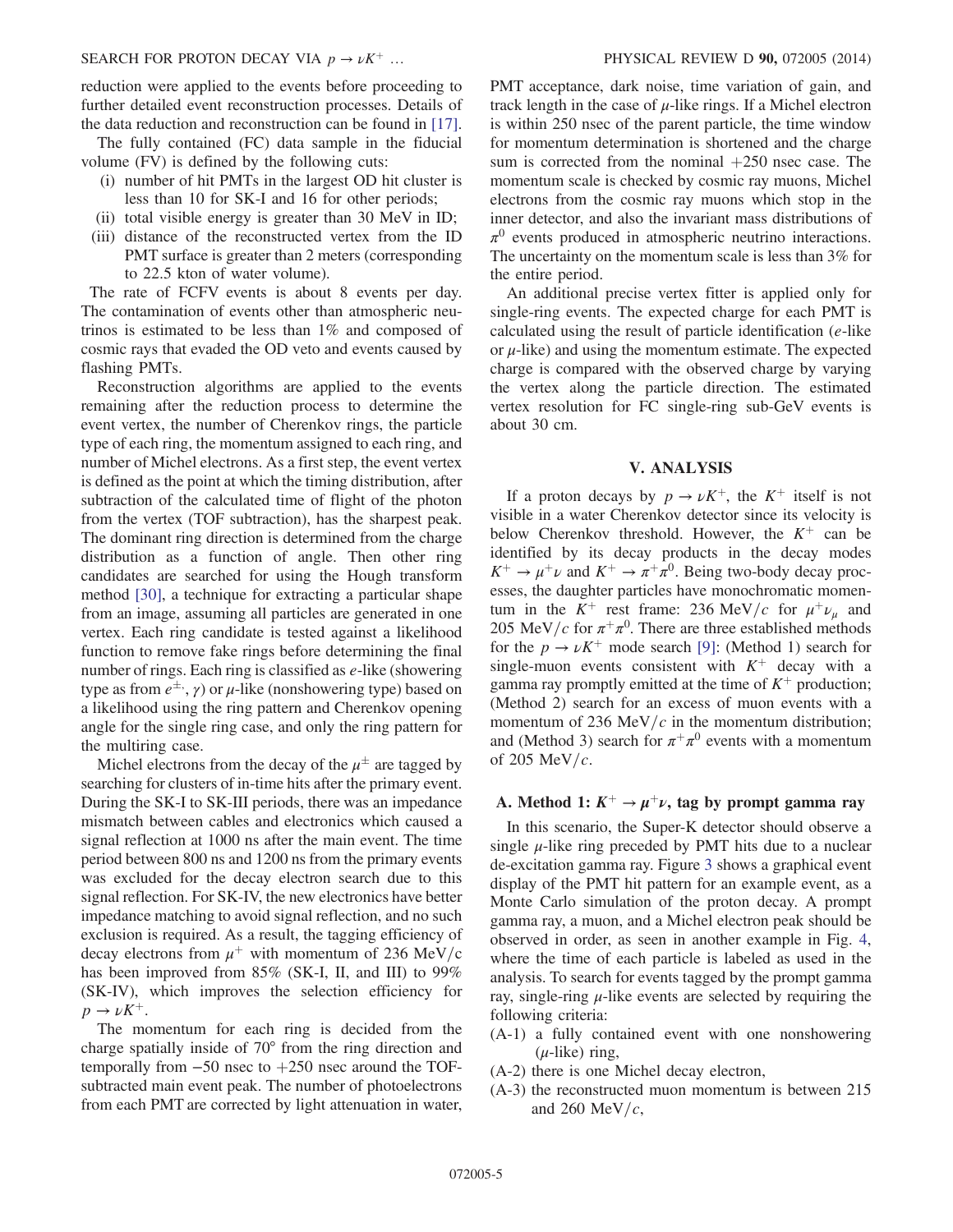reduction were applied to the events before proceeding to further detailed event reconstruction processes. Details of the data reduction and reconstruction can be found in [\[17\]](#page-12-15).

The fully contained (FC) data sample in the fiducial volume (FV) is defined by the following cuts:

- (i) number of hit PMTs in the largest OD hit cluster is less than 10 for SK-I and 16 for other periods;
- (ii) total visible energy is greater than 30 MeV in ID;
- (iii) distance of the reconstructed vertex from the ID PMT surface is greater than 2 meters (corresponding to 22.5 kton of water volume).

The rate of FCFV events is about 8 events per day. The contamination of events other than atmospheric neutrinos is estimated to be less than 1% and composed of cosmic rays that evaded the OD veto and events caused by flashing PMTs.

Reconstruction algorithms are applied to the events remaining after the reduction process to determine the event vertex, the number of Cherenkov rings, the particle type of each ring, the momentum assigned to each ring, and number of Michel electrons. As a first step, the event vertex is defined as the point at which the timing distribution, after subtraction of the calculated time of flight of the photon from the vertex (TOF subtraction), has the sharpest peak. The dominant ring direction is determined from the charge distribution as a function of angle. Then other ring candidates are searched for using the Hough transform method [\[30\],](#page-13-5) a technique for extracting a particular shape from an image, assuming all particles are generated in one vertex. Each ring candidate is tested against a likelihood function to remove fake rings before determining the final number of rings. Each ring is classified as  $e$ -like (showering type as from  $e^{\pm}$ ,  $\gamma$ ) or  $\mu$ -like (nonshowering type) based on a likelihood using the ring pattern and Cherenkov opening angle for the single ring case, and only the ring pattern for the multiring case.

Michel electrons from the decay of the  $\mu^{\pm}$  are tagged by searching for clusters of in-time hits after the primary event. During the SK-I to SK-III periods, there was an impedance mismatch between cables and electronics which caused a signal reflection at 1000 ns after the main event. The time period between 800 ns and 1200 ns from the primary events was excluded for the decay electron search due to this signal reflection. For SK-IV, the new electronics have better impedance matching to avoid signal reflection, and no such exclusion is required. As a result, the tagging efficiency of decay electrons from  $\mu^+$  with momentum of 236 MeV/c has been improved from 85% (SK-I, II, and III) to 99% (SK-IV), which improves the selection efficiency for  $p \rightarrow \nu K^+$ .

The momentum for each ring is decided from the charge spatially inside of 70° from the ring direction and temporally from  $-50$  nsec to  $+250$  nsec around the TOFsubtracted main event peak. The number of photoelectrons from each PMT are corrected by light attenuation in water, PMT acceptance, dark noise, time variation of gain, and track length in the case of  $\mu$ -like rings. If a Michel electron is within 250 nsec of the parent particle, the time window for momentum determination is shortened and the charge sum is corrected from the nominal  $+250$  nsec case. The momentum scale is checked by cosmic ray muons, Michel electrons from the cosmic ray muons which stop in the inner detector, and also the invariant mass distributions of  $\pi^0$  events produced in atmospheric neutrino interactions. The uncertainty on the momentum scale is less than 3% for the entire period.

An additional precise vertex fitter is applied only for single-ring events. The expected charge for each PMT is calculated using the result of particle identification (e-like or  $\mu$ -like) and using the momentum estimate. The expected charge is compared with the observed charge by varying the vertex along the particle direction. The estimated vertex resolution for FC single-ring sub-GeV events is about 30 cm.

#### V. ANALYSIS

If a proton decays by  $p \to \nu K^{+}$ , the  $K^{+}$  itself is not visible in a water Cherenkov detector since its velocity is below Cherenkov threshold. However, the  $K^+$  can be identified by its decay products in the decay modes  $K^+ \rightarrow \mu^+\nu$  and  $K^+ \rightarrow \pi^+\pi^0$ . Being two-body decay processes, the daughter particles have monochromatic momentum in the  $K^+$  rest frame: 236 MeV/c for  $\mu^+\nu_\mu$  and 205 MeV/c for  $\pi^+\pi^0$ . There are three established methods for the  $p \to \nu K^+$  mode search [\[9\]](#page-12-21): (Method 1) search for single-muon events consistent with  $K^+$  decay with a gamma ray promptly emitted at the time of  $K^+$  production; (Method 2) search for an excess of muon events with a momentum of 236 MeV/ $c$  in the momentum distribution; and (Method 3) search for  $\pi^+\pi^0$  events with a momentum of 205 MeV/ $c$ .

## A. Method 1:  $K^+ \rightarrow \mu^+ \nu$ , tag by prompt gamma ray

In this scenario, the Super-K detector should observe a single  $\mu$ -like ring preceded by PMT hits due to a nuclear de-excitation gamma ray. Figure [3](#page-5-0) shows a graphical event display of the PMT hit pattern for an example event, as a Monte Carlo simulation of the proton decay. A prompt gamma ray, a muon, and a Michel electron peak should be observed in order, as seen in another example in Fig. [4](#page-5-1), where the time of each particle is labeled as used in the analysis. To search for events tagged by the prompt gamma ray, single-ring  $\mu$ -like events are selected by requiring the following criteria:

- (A-1) a fully contained event with one nonshowering  $(\mu$ -like) ring,
- (A-2) there is one Michel decay electron,
- (A-3) the reconstructed muon momentum is between 215 and 260 MeV/ $c$ ,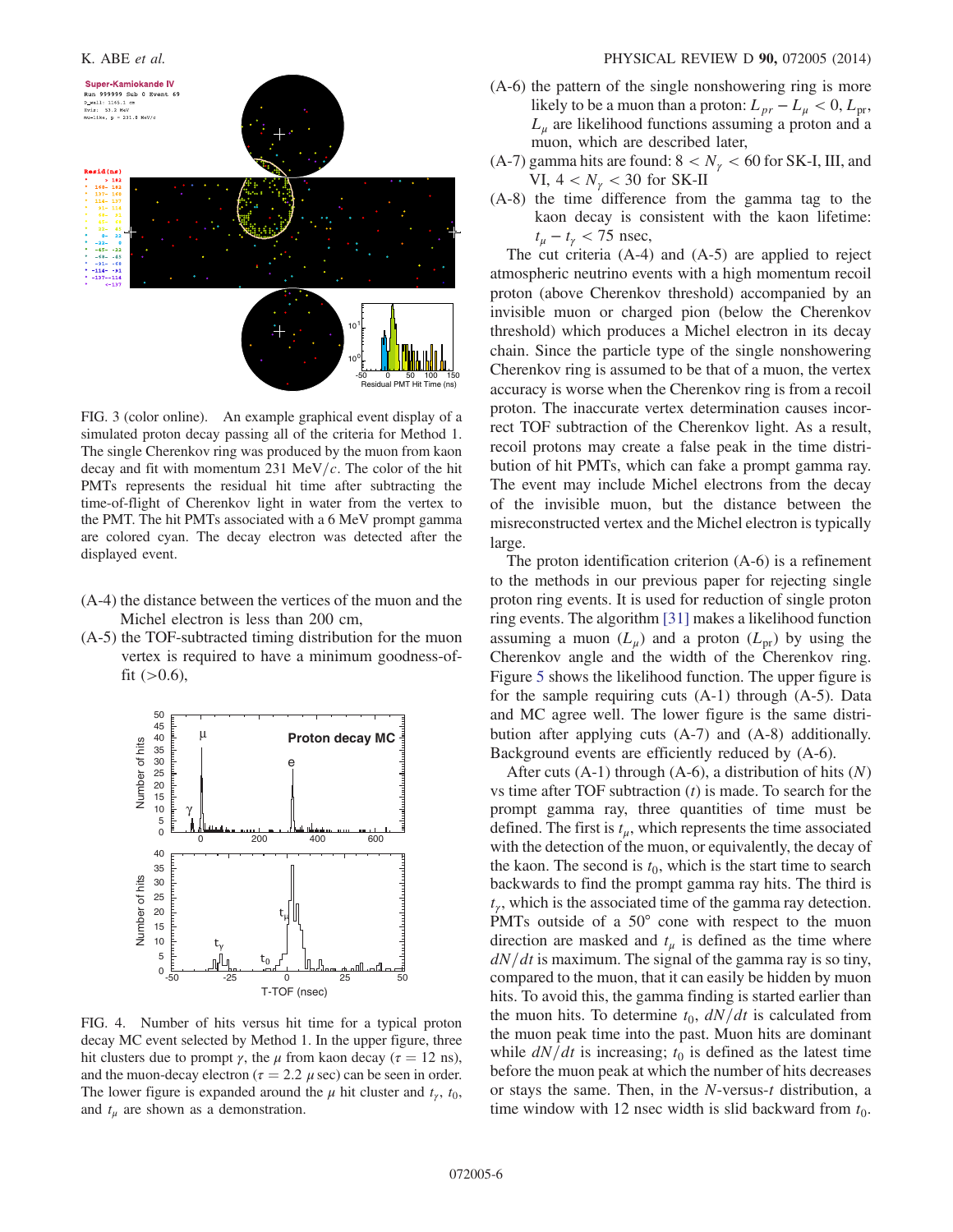<span id="page-5-0"></span>

FIG. 3 (color online). An example graphical event display of a simulated proton decay passing all of the criteria for Method 1. The single Cherenkov ring was produced by the muon from kaon decay and fit with momentum 231 MeV/ $c$ . The color of the hit PMTs represents the residual hit time after subtracting the time-of-flight of Cherenkov light in water from the vertex to the PMT. The hit PMTs associated with a 6 MeV prompt gamma are colored cyan. The decay electron was detected after the displayed event.

- (A-4) the distance between the vertices of the muon and the Michel electron is less than 200 cm,
- (A-5) the TOF-subtracted timing distribution for the muon vertex is required to have a minimum goodness-offit  $(>0.6)$ ,

<span id="page-5-1"></span>

FIG. 4. Number of hits versus hit time for a typical proton decay MC event selected by Method 1. In the upper figure, three hit clusters due to prompt  $\gamma$ , the  $\mu$  from kaon decay ( $\tau = 12$  ns), and the muon-decay electron ( $\tau = 2.2 \mu$  sec) can be seen in order. The lower figure is expanded around the  $\mu$  hit cluster and  $t_{\nu}$ ,  $t_0$ , and  $t_{\mu}$  are shown as a demonstration.

- (A-6) the pattern of the single nonshowering ring is more likely to be a muon than a proton:  $L_{pr} - L_{\mu} < 0, L_{pr}$ ,  $L_{\mu}$  are likelihood functions assuming a proton and a muon, which are described later,
- (A-7) gamma hits are found:  $8 < N_{\gamma} < 60$  for SK-I, III, and VI,  $4 < N_{\gamma} < 30$  for SK-II
- (A-8) the time difference from the gamma tag to the kaon decay is consistent with the kaon lifetime:  $t_{\mu} - t_{\gamma} < 75$  nsec,

The cut criteria (A-4) and (A-5) are applied to reject atmospheric neutrino events with a high momentum recoil proton (above Cherenkov threshold) accompanied by an invisible muon or charged pion (below the Cherenkov threshold) which produces a Michel electron in its decay chain. Since the particle type of the single nonshowering Cherenkov ring is assumed to be that of a muon, the vertex accuracy is worse when the Cherenkov ring is from a recoil proton. The inaccurate vertex determination causes incorrect TOF subtraction of the Cherenkov light. As a result, recoil protons may create a false peak in the time distribution of hit PMTs, which can fake a prompt gamma ray. The event may include Michel electrons from the decay of the invisible muon, but the distance between the misreconstructed vertex and the Michel electron is typically large.

The proton identification criterion (A-6) is a refinement to the methods in our previous paper for rejecting single proton ring events. It is used for reduction of single proton ring events. The algorithm [\[31\]](#page-13-6) makes a likelihood function assuming a muon  $(L_u)$  and a proton  $(L_{\text{pr}})$  by using the Cherenkov angle and the width of the Cherenkov ring. Figure [5](#page-6-0) shows the likelihood function. The upper figure is for the sample requiring cuts (A-1) through (A-5). Data and MC agree well. The lower figure is the same distribution after applying cuts (A-7) and (A-8) additionally. Background events are efficiently reduced by (A-6).

After cuts  $(A-1)$  through  $(A-6)$ , a distribution of hits  $(N)$ vs time after TOF subtraction  $(t)$  is made. To search for the prompt gamma ray, three quantities of time must be defined. The first is  $t<sub>u</sub>$ , which represents the time associated with the detection of the muon, or equivalently, the decay of the kaon. The second is  $t_0$ , which is the start time to search backwards to find the prompt gamma ray hits. The third is  $t<sub>y</sub>$ , which is the associated time of the gamma ray detection. PMTs outside of a 50° cone with respect to the muon direction are masked and  $t_{\mu}$  is defined as the time where  $dN/dt$  is maximum. The signal of the gamma ray is so tiny, compared to the muon, that it can easily be hidden by muon hits. To avoid this, the gamma finding is started earlier than the muon hits. To determine  $t_0$ ,  $dN/dt$  is calculated from the muon peak time into the past. Muon hits are dominant while  $dN/dt$  is increasing;  $t_0$  is defined as the latest time before the muon peak at which the number of hits decreases or stays the same. Then, in the N-versus-t distribution, a time window with 12 nsec width is slid backward from  $t_0$ .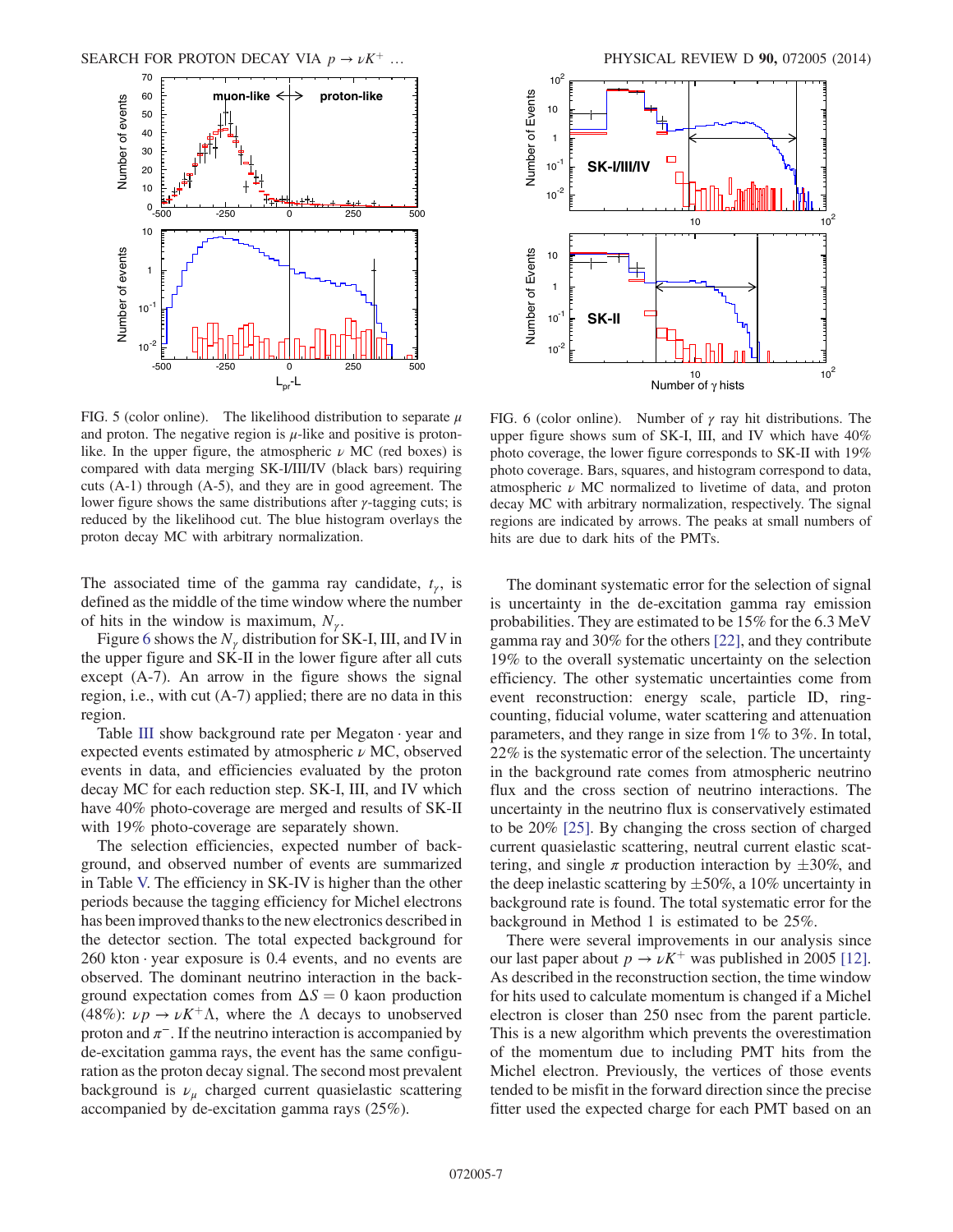<span id="page-6-0"></span>

FIG. 5 (color online). The likelihood distribution to separate  $\mu$ and proton. The negative region is  $\mu$ -like and positive is protonlike. In the upper figure, the atmospheric  $\nu$  MC (red boxes) is compared with data merging SK-I/III/IV (black bars) requiring cuts (A-1) through (A-5), and they are in good agreement. The lower figure shows the same distributions after  $γ$ -tagging cuts; is reduced by the likelihood cut. The blue histogram overlays the proton decay MC with arbitrary normalization.

The associated time of the gamma ray candidate,  $t_{\gamma}$ , is defined as the middle of the time window where the number of hits in the window is maximum,  $N_{\gamma}$ .

Figure [6](#page-6-1) shows the  $N_{\gamma}$  distribution for SK-I, III, and IV in the upper figure and SK-II in the lower figure after all cuts except (A-7). An arrow in the figure shows the signal region, i.e., with cut (A-7) applied; there are no data in this region.

Table [III](#page-7-0) show background rate per Megaton · year and expected events estimated by atmospheric  $\nu$  MC, observed events in data, and efficiencies evaluated by the proton decay MC for each reduction step. SK-I, III, and IV which have 40% photo-coverage are merged and results of SK-II with 19% photo-coverage are separately shown.

The selection efficiencies, expected number of background, and observed number of events are summarized in Table [V.](#page-11-0) The efficiency in SK-IV is higher than the other periods because the tagging efficiency for Michel electrons has been improved thanks to the new electronics described in the detector section. The total expected background for  $260$  kton  $\cdot$  year exposure is 0.4 events, and no events are observed. The dominant neutrino interaction in the background expectation comes from  $\Delta S = 0$  kaon production (48%):  $\nu p \rightarrow \nu K^{+}\Lambda$ , where the  $\Lambda$  decays to unobserved proton and  $\pi^-$ . If the neutrino interaction is accompanied by de-excitation gamma rays, the event has the same configuration as the proton decay signal. The second most prevalent background is  $\nu_{\mu}$  charged current quasielastic scattering accompanied by de-excitation gamma rays (25%).

<span id="page-6-1"></span>

FIG. 6 (color online). Number of  $\gamma$  ray hit distributions. The upper figure shows sum of SK-I, III, and IV which have 40% photo coverage, the lower figure corresponds to SK-II with 19% photo coverage. Bars, squares, and histogram correspond to data, atmospheric  $\nu$  MC normalized to livetime of data, and proton decay MC with arbitrary normalization, respectively. The signal regions are indicated by arrows. The peaks at small numbers of hits are due to dark hits of the PMTs.

The dominant systematic error for the selection of signal is uncertainty in the de-excitation gamma ray emission probabilities. They are estimated to be 15% for the 6.3 MeV gamma ray and 30% for the others [\[22\],](#page-12-20) and they contribute 19% to the overall systematic uncertainty on the selection efficiency. The other systematic uncertainties come from event reconstruction: energy scale, particle ID, ringcounting, fiducial volume, water scattering and attenuation parameters, and they range in size from 1% to 3%. In total, 22% is the systematic error of the selection. The uncertainty in the background rate comes from atmospheric neutrino flux and the cross section of neutrino interactions. The uncertainty in the neutrino flux is conservatively estimated to be 20% [\[25\]](#page-13-0). By changing the cross section of charged current quasielastic scattering, neutral current elastic scattering, and single  $\pi$  production interaction by  $\pm 30\%$ , and the deep inelastic scattering by  $\pm 50\%$ , a 10% uncertainty in background rate is found. The total systematic error for the background in Method 1 is estimated to be 25%.

There were several improvements in our analysis since our last paper about  $p \to \nu K^{+}$  was published in 2005 [\[12\]](#page-12-10). As described in the reconstruction section, the time window for hits used to calculate momentum is changed if a Michel electron is closer than 250 nsec from the parent particle. This is a new algorithm which prevents the overestimation of the momentum due to including PMT hits from the Michel electron. Previously, the vertices of those events tended to be misfit in the forward direction since the precise fitter used the expected charge for each PMT based on an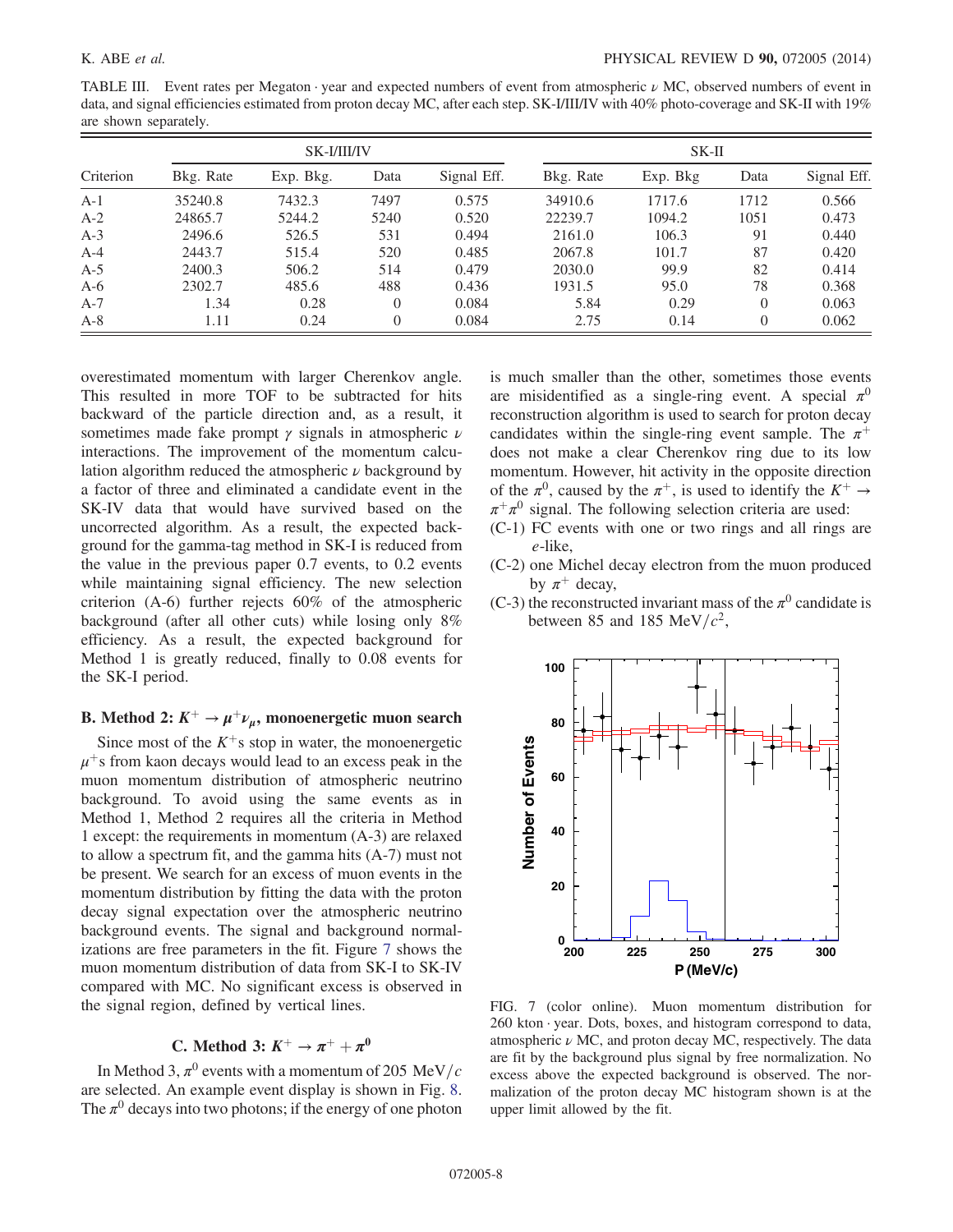<span id="page-7-0"></span>TABLE III. Event rates per Megaton · year and expected numbers of event from atmospheric  $\nu$  MC, observed numbers of event in data, and signal efficiencies estimated from proton decay MC, after each step. SK-I/III/IV with 40% photo-coverage and SK-II with 19% are shown separately.

|           | SK-I/III/IV |           |          |             | $SK-II$   |          |          |             |
|-----------|-------------|-----------|----------|-------------|-----------|----------|----------|-------------|
| Criterion | Bkg. Rate   | Exp. Bkg. | Data     | Signal Eff. | Bkg. Rate | Exp. Bkg | Data     | Signal Eff. |
| $A-1$     | 35240.8     | 7432.3    | 7497     | 0.575       | 34910.6   | 1717.6   | 1712     | 0.566       |
| $A-2$     | 24865.7     | 5244.2    | 5240     | 0.520       | 22239.7   | 1094.2   | 1051     | 0.473       |
| $A-3$     | 2496.6      | 526.5     | 531      | 0.494       | 2161.0    | 106.3    | 91       | 0.440       |
| $A-4$     | 2443.7      | 515.4     | 520      | 0.485       | 2067.8    | 101.7    | 87       | 0.420       |
| $A-5$     | 2400.3      | 506.2     | 514      | 0.479       | 2030.0    | 99.9     | 82       | 0.414       |
| $A-6$     | 2302.7      | 485.6     | 488      | 0.436       | 1931.5    | 95.0     | 78       | 0.368       |
| $A-7$     | 1.34        | 0.28      | $\Omega$ | 0.084       | 5.84      | 0.29     | $\Omega$ | 0.063       |
| $A-8$     | 1.11        | 0.24      | $\Omega$ | 0.084       | 2.75      | 0.14     | $\theta$ | 0.062       |

overestimated momentum with larger Cherenkov angle. This resulted in more TOF to be subtracted for hits backward of the particle direction and, as a result, it sometimes made fake prompt  $\gamma$  signals in atmospheric  $\nu$ interactions. The improvement of the momentum calculation algorithm reduced the atmospheric  $\nu$  background by a factor of three and eliminated a candidate event in the SK-IV data that would have survived based on the uncorrected algorithm. As a result, the expected background for the gamma-tag method in SK-I is reduced from the value in the previous paper 0.7 events, to 0.2 events while maintaining signal efficiency. The new selection criterion (A-6) further rejects 60% of the atmospheric background (after all other cuts) while losing only 8% efficiency. As a result, the expected background for Method 1 is greatly reduced, finally to 0.08 events for the SK-I period.

# B. Method 2:  $K^+ \rightarrow \mu^+ \nu_\mu$ , monoenergetic muon search

Since most of the  $K^+$ s stop in water, the monoenergetic  $\mu^+$ s from kaon decays would lead to an excess peak in the muon momentum distribution of atmospheric neutrino background. To avoid using the same events as in Method 1, Method 2 requires all the criteria in Method 1 except: the requirements in momentum (A-3) are relaxed to allow a spectrum fit, and the gamma hits (A-7) must not be present. We search for an excess of muon events in the momentum distribution by fitting the data with the proton decay signal expectation over the atmospheric neutrino background events. The signal and background normalizations are free parameters in the fit. Figure [7](#page-7-1) shows the muon momentum distribution of data from SK-I to SK-IV compared with MC. No significant excess is observed in the signal region, defined by vertical lines.

# C. Method 3:  $K^+ \rightarrow \pi^+ + \pi^0$

In Method 3,  $\pi^0$  events with a momentum of 205 MeV/c are selected. An example event display is shown in Fig. [8](#page-8-0). The  $\pi^0$  decays into two photons; if the energy of one photon is much smaller than the other, sometimes those events are misidentified as a single-ring event. A special  $\pi^0$ reconstruction algorithm is used to search for proton decay candidates within the single-ring event sample. The  $\pi^+$ does not make a clear Cherenkov ring due to its low momentum. However, hit activity in the opposite direction of the  $\pi^0$ , caused by the  $\pi^+$ , is used to identify the  $K^+ \rightarrow$  $\pi^+\pi^0$  signal. The following selection criteria are used:

- (C-1) FC events with one or two rings and all rings are e-like,
- (C-2) one Michel decay electron from the muon produced by  $\pi^+$  decay,
- (C-3) the reconstructed invariant mass of the  $\pi^0$  candidate is between 85 and 185 MeV/ $c^2$ ,

<span id="page-7-1"></span>

FIG. 7 (color online). Muon momentum distribution for  $260$  kton  $\cdot$  year. Dots, boxes, and histogram correspond to data, atmospheric  $\nu$  MC, and proton decay MC, respectively. The data are fit by the background plus signal by free normalization. No excess above the expected background is observed. The normalization of the proton decay MC histogram shown is at the upper limit allowed by the fit.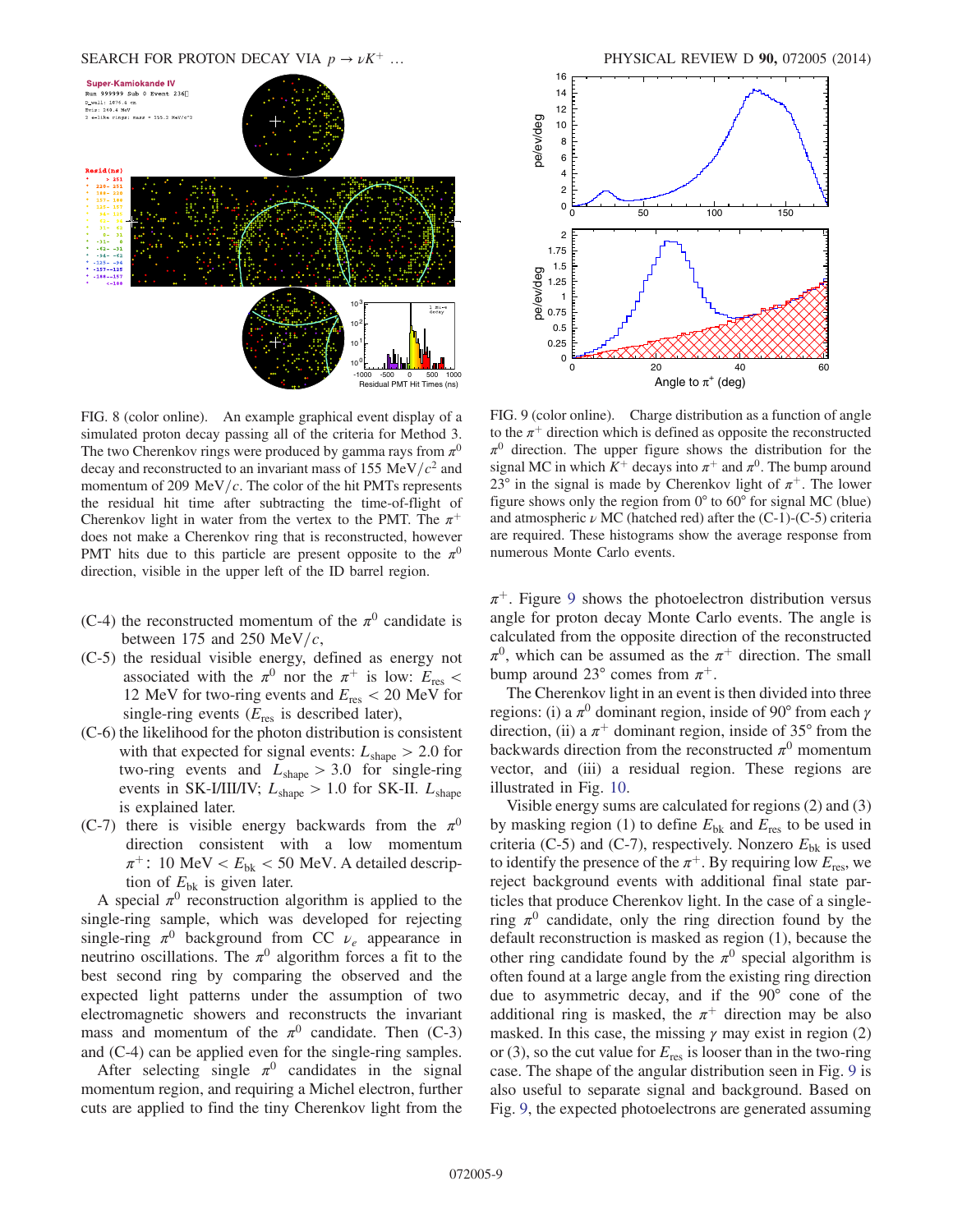#### SEARCH FOR PROTON DECAY VIA  $p \rightarrow \nu K^+$  … PHYSICAL REVIEW D 90, 072005 (2014)

<span id="page-8-0"></span>

FIG. 8 (color online). An example graphical event display of a simulated proton decay passing all of the criteria for Method 3. The two Cherenkov rings were produced by gamma rays from  $\pi^0$ decay and reconstructed to an invariant mass of 155 MeV/ $c<sup>2</sup>$  and momentum of 209 MeV/ $c$ . The color of the hit PMTs represents the residual hit time after subtracting the time-of-flight of Cherenkov light in water from the vertex to the PMT. The  $\pi^+$ does not make a Cherenkov ring that is reconstructed, however PMT hits due to this particle are present opposite to the  $\pi^0$ direction, visible in the upper left of the ID barrel region.

- (C-4) the reconstructed momentum of the  $\pi^0$  candidate is between 175 and 250 MeV/ $c$ ,
- (C-5) the residual visible energy, defined as energy not associated with the  $\pi^0$  nor the  $\pi^+$  is low:  $E_{res}$  < 12 MeV for two-ring events and  $E_{res}$  < 20 MeV for single-ring events  $(E_{res}$  is described later),
- (C-6) the likelihood for the photon distribution is consistent with that expected for signal events:  $L_{shape} > 2.0$  for two-ring events and  $L_{shape} > 3.0$  for single-ring events in SK-I/III/IV;  $L_{shape} > 1.0$  for SK-II.  $L_{shape}$ is explained later.
- (C-7) there is visible energy backwards from the  $\pi^0$ direction consistent with a low momentum  $\pi^+$ : 10 MeV <  $E_{\rm bk}$  < 50 MeV. A detailed description of  $E_{\text{bk}}$  is given later.

A special  $\pi^0$  reconstruction algorithm is applied to the single-ring sample, which was developed for rejecting single-ring  $\pi^0$  background from CC  $\nu_e$  appearance in neutrino oscillations. The  $\pi^0$  algorithm forces a fit to the best second ring by comparing the observed and the expected light patterns under the assumption of two electromagnetic showers and reconstructs the invariant mass and momentum of the  $\pi^0$  candidate. Then (C-3) and (C-4) can be applied even for the single-ring samples.

After selecting single  $\pi^0$  candidates in the signal momentum region, and requiring a Michel electron, further cuts are applied to find the tiny Cherenkov light from the

<span id="page-8-1"></span>

FIG. 9 (color online). Charge distribution as a function of angle to the  $\pi^+$  direction which is defined as opposite the reconstructed  $\pi^0$  direction. The upper figure shows the distribution for the signal MC in which  $K^+$  decays into  $\pi^+$  and  $\pi^0$ . The bump around 23° in the signal is made by Cherenkov light of  $\pi^{+}$ . The lower figure shows only the region from 0° to 60° for signal MC (blue) and atmospheric  $\nu$  MC (hatched red) after the (C-1)-(C-5) criteria are required. These histograms show the average response from numerous Monte Carlo events.

 $\pi^+$ . Figure [9](#page-8-1) shows the photoelectron distribution versus angle for proton decay Monte Carlo events. The angle is calculated from the opposite direction of the reconstructed  $\pi^0$ , which can be assumed as the  $\pi^+$  direction. The small bump around 23 $^{\circ}$  comes from  $\pi^{+}$ .

The Cherenkov light in an event is then divided into three regions: (i) a  $\pi^0$  dominant region, inside of 90° from each  $\gamma$ direction, (ii) a  $\pi$ <sup>+</sup> dominant region, inside of 35° from the backwards direction from the reconstructed  $\pi^0$  momentum vector, and (iii) a residual region. These regions are illustrated in Fig. [10](#page-9-0).

Visible energy sums are calculated for regions (2) and (3) by masking region (1) to define  $E_{\text{bk}}$  and  $E_{\text{res}}$  to be used in criteria (C-5) and (C-7), respectively. Nonzero  $E_{\text{bk}}$  is used to identify the presence of the  $\pi^{+}$ . By requiring low  $E_{res}$ , we reject background events with additional final state particles that produce Cherenkov light. In the case of a singlering  $\pi^0$  candidate, only the ring direction found by the default reconstruction is masked as region (1), because the other ring candidate found by the  $\pi^0$  special algorithm is often found at a large angle from the existing ring direction due to asymmetric decay, and if the 90° cone of the additional ring is masked, the  $\pi^+$  direction may be also masked. In this case, the missing  $\gamma$  may exist in region (2) or (3), so the cut value for  $E_{res}$  is looser than in the two-ring case. The shape of the angular distribution seen in Fig. [9](#page-8-1) is also useful to separate signal and background. Based on Fig. [9](#page-8-1), the expected photoelectrons are generated assuming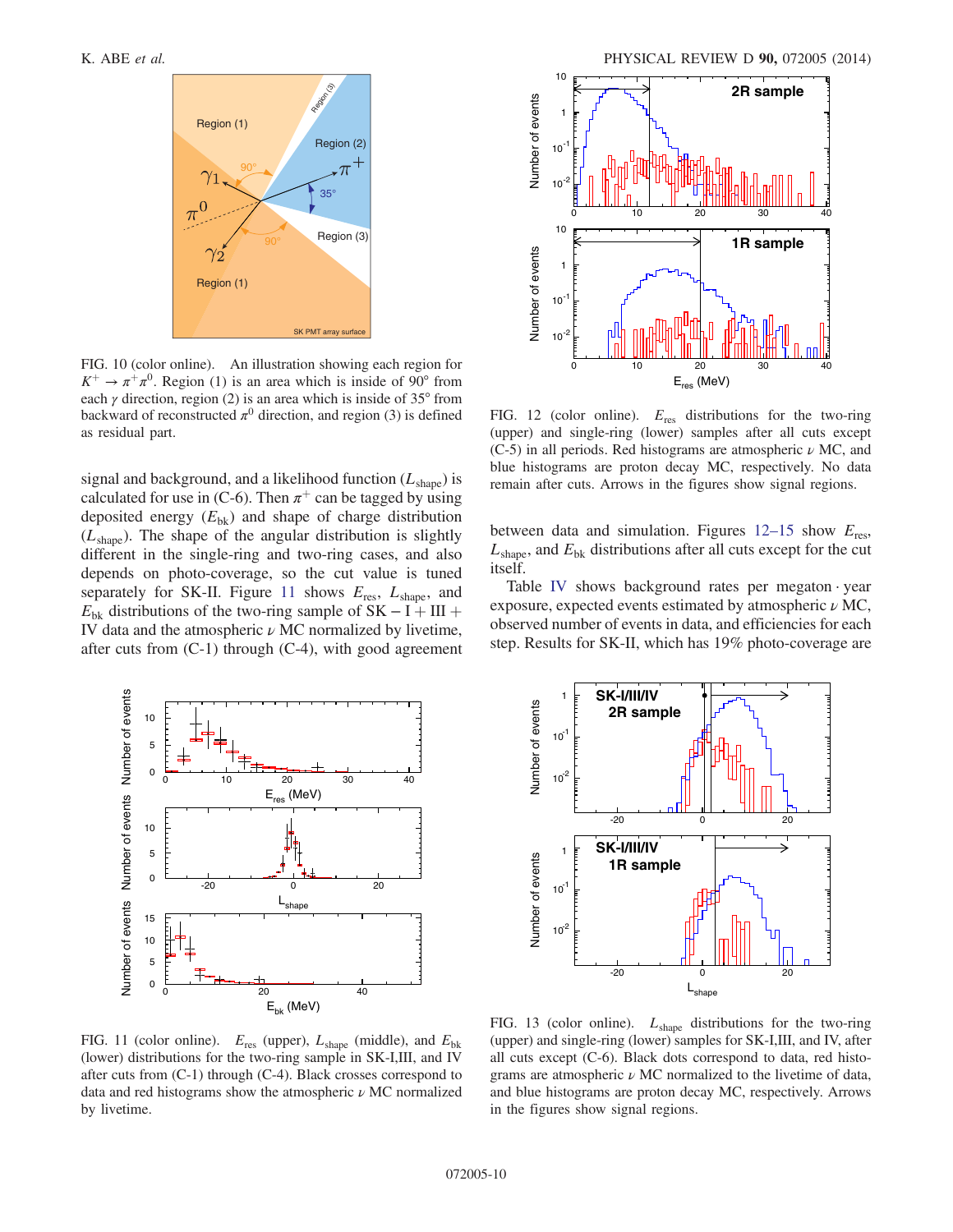

FIG. 10 (color online). An illustration showing each region for  $K^+ \rightarrow \pi^+\pi^0$ . Region (1) is an area which is inside of 90° from each  $\gamma$  direction, region (2) is an area which is inside of 35 $\degree$  from backward of reconstructed  $\pi^0$  direction, and region (3) is defined as residual part.

signal and background, and a likelihood function  $(L_{\text{shape}})$  is calculated for use in (C-6). Then  $\pi^+$  can be tagged by using deposited energy  $(E_{\text{bk}})$  and shape of charge distribution  $(L<sub>shape</sub>)$ . The shape of the angular distribution is slightly different in the single-ring and two-ring cases, and also depends on photo-coverage, so the cut value is tuned separately for SK-II. Figure [11](#page-9-1) shows  $E_{res}$ ,  $L_{shape}$ , and  $E_{\rm bk}$  distributions of the two-ring sample of SK – I + III + IV data and the atmospheric  $\nu$  MC normalized by livetime, after cuts from (C-1) through (C-4), with good agreement

<span id="page-9-0"></span>

<span id="page-9-2"></span>

FIG. 12 (color online).  $E_{res}$  distributions for the two-ring (upper) and single-ring (lower) samples after all cuts except (C-5) in all periods. Red histograms are atmospheric  $\nu$  MC, and blue histograms are proton decay MC, respectively. No data remain after cuts. Arrows in the figures show signal regions.

between data and simulation. Figures  $12-15$  $12-15$  show  $E_{res}$ ,  $L_{\text{shape}}$ , and  $E_{\text{bk}}$  distributions after all cuts except for the cut itself.

Table [IV](#page-11-1) shows background rates per megaton · year exposure, expected events estimated by atmospheric  $\nu$  MC, observed number of events in data, and efficiencies for each step. Results for SK-II, which has 19% photo-coverage are

<span id="page-9-1"></span>

**SK-I/III/IV** 1 Number of events Number of events **2R sample**  $10^{-1}$  $10^{2}$ -20 0 20 **SK-I/III/IV** 1 Number of events Number of events **1R sample**  $10<sup>-1</sup>$  $10^{2}$ -20 0 20  $L_{\rm shape}$ 

FIG. 11 (color online).  $E_{res}$  (upper),  $L_{shape}$  (middle), and  $E_{bk}$ (lower) distributions for the two-ring sample in SK-I,III, and IV after cuts from (C-1) through (C-4). Black crosses correspond to data and red histograms show the atmospheric  $\nu$  MC normalized by livetime.

FIG. 13 (color online).  $L_{shape}$  distributions for the two-ring (upper) and single-ring (lower) samples for SK-I,III, and IV, after all cuts except (C-6). Black dots correspond to data, red histograms are atmospheric  $\nu$  MC normalized to the livetime of data, and blue histograms are proton decay MC, respectively. Arrows in the figures show signal regions.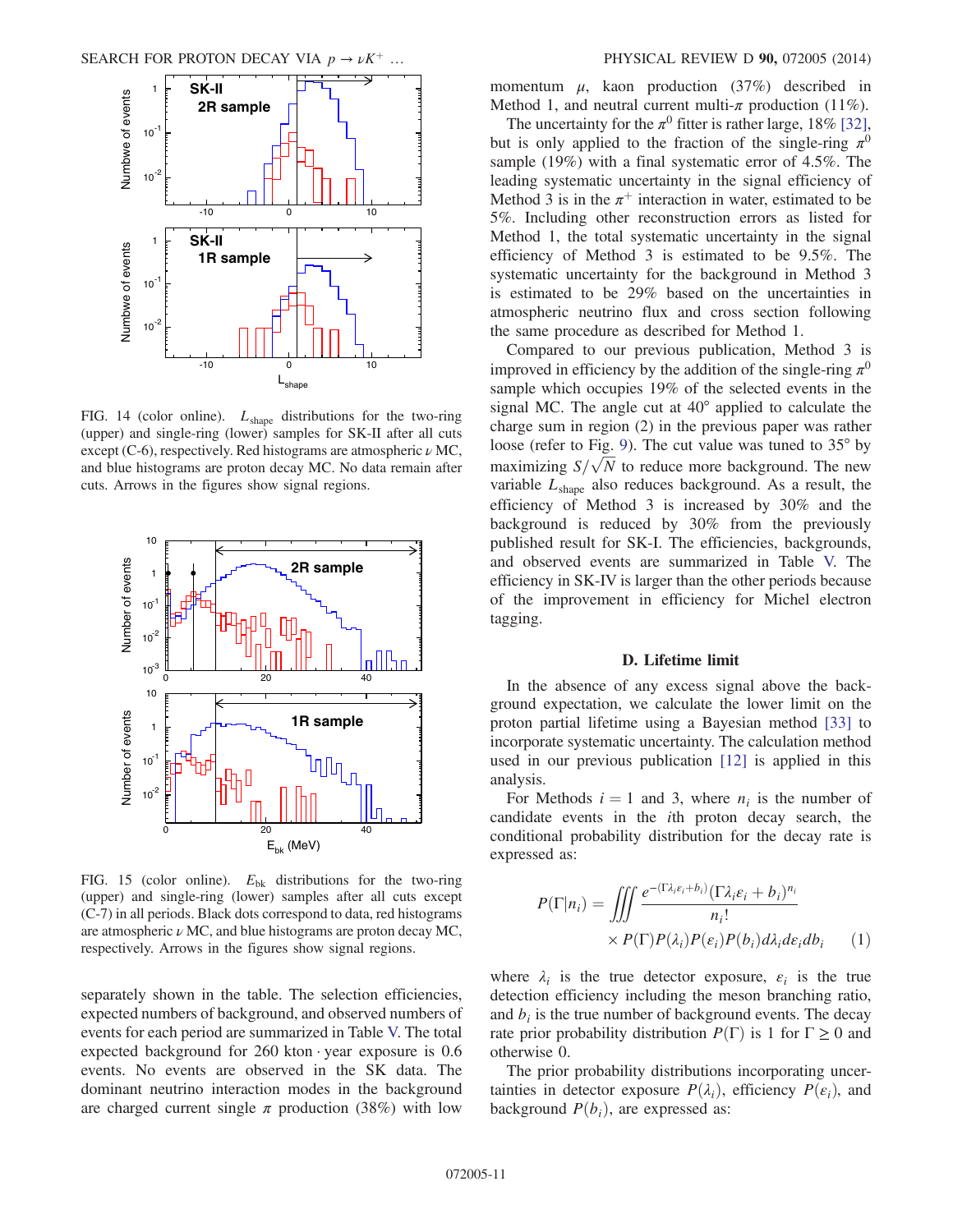

FIG. 14 (color online).  $L_{shape}$  distributions for the two-ring (upper) and single-ring (lower) samples for SK-II after all cuts except (C-6), respectively. Red histograms are atmospheric  $\nu$  MC, and blue histograms are proton decay MC. No data remain after cuts. Arrows in the figures show signal regions.



FIG. 15 (color online).  $E_{\text{bk}}$  distributions for the two-ring (upper) and single-ring (lower) samples after all cuts except (C-7) in all periods. Black dots correspond to data, red histograms are atmospheric  $\nu$  MC, and blue histograms are proton decay MC, respectively. Arrows in the figures show signal regions.

separately shown in the table. The selection efficiencies, expected numbers of background, and observed numbers of events for each period are summarized in Table [V.](#page-11-0) The total expected background for  $260$  kton · year exposure is  $0.6$ events. No events are observed in the SK data. The dominant neutrino interaction modes in the background are charged current single  $\pi$  production (38%) with low momentum  $\mu$ , kaon production (37%) described in Method 1, and neutral current multi- $\pi$  production (11%).

The uncertainty for the  $\pi^0$  fitter is rather large, 18% [\[32\]](#page-13-7), but is only applied to the fraction of the single-ring  $\pi^0$ sample (19%) with a final systematic error of 4.5%. The leading systematic uncertainty in the signal efficiency of Method 3 is in the  $\pi^+$  interaction in water, estimated to be 5%. Including other reconstruction errors as listed for Method 1, the total systematic uncertainty in the signal efficiency of Method 3 is estimated to be 9.5%. The systematic uncertainty for the background in Method 3 is estimated to be 29% based on the uncertainties in atmospheric neutrino flux and cross section following the same procedure as described for Method 1.

Compared to our previous publication, Method 3 is improved in efficiency by the addition of the single-ring  $\pi^0$ sample which occupies 19% of the selected events in the signal MC. The angle cut at 40° applied to calculate the charge sum in region (2) in the previous paper was rather loose (refer to Fig. [9](#page-8-1)). The cut value was tuned to 35° by maximizing  $S/\sqrt{N}$  to reduce more background. The new variable  $L_{shape}$  also reduces background. As a result, the efficiency of Method 3 is increased by 30% and the background is reduced by 30% from the previously published result for SK-I. The efficiencies, backgrounds, and observed events are summarized in Table [V.](#page-11-0) The efficiency in SK-IV is larger than the other periods because of the improvement in efficiency for Michel electron tagging.

#### D. Lifetime limit

In the absence of any excess signal above the background expectation, we calculate the lower limit on the proton partial lifetime using a Bayesian method [\[33\]](#page-13-8) to incorporate systematic uncertainty. The calculation method used in our previous publication [\[12\]](#page-12-10) is applied in this analysis.

For Methods  $i = 1$  and 3, where  $n_i$  is the number of candidate events in the ith proton decay search, the conditional probability distribution for the decay rate is expressed as:

$$
P(\Gamma|n_i) = \iiint \frac{e^{-(\Gamma \lambda_i \varepsilon_i + b_i)} (\Gamma \lambda_i \varepsilon_i + b_i)^{n_i}}{n_i!} \times P(\Gamma) P(\lambda_i) P(\varepsilon_i) P(b_i) d\lambda_i d\varepsilon_i db_i \qquad (1)
$$

where  $\lambda_i$  is the true detector exposure,  $\varepsilon_i$  is the true detection efficiency including the meson branching ratio, and  $b_i$  is the true number of background events. The decay rate prior probability distribution  $P(\Gamma)$  is 1 for  $\Gamma \ge 0$  and otherwise 0.

The prior probability distributions incorporating uncertainties in detector exposure  $P(\lambda_i)$ , efficiency  $P(\varepsilon_i)$ , and background  $P(b_i)$ , are expressed as: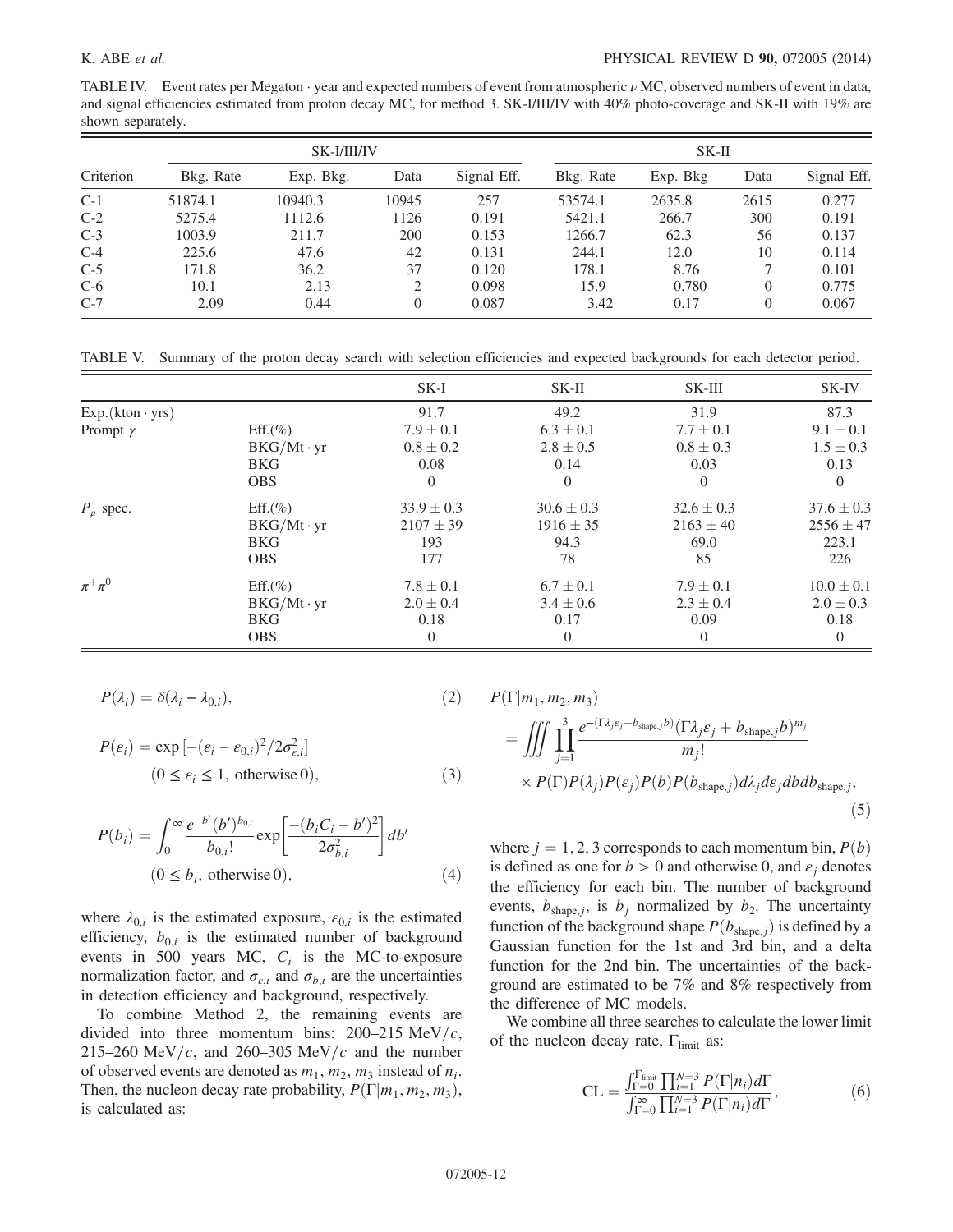<span id="page-11-1"></span>TABLE IV. Event rates per Megaton · year and expected numbers of event from atmospheric ν MC, observed numbers of event in data, and signal efficiencies estimated from proton decay MC, for method 3. SK-I/III/IV with 40% photo-coverage and SK-II with 19% are shown separately.

|           | SK-I/III/IV |           |       |             | $SK-II$   |          |      |             |
|-----------|-------------|-----------|-------|-------------|-----------|----------|------|-------------|
| Criterion | Bkg. Rate   | Exp. Bkg. | Data  | Signal Eff. | Bkg. Rate | Exp. Bkg | Data | Signal Eff. |
| $C-1$     | 51874.1     | 10940.3   | 10945 | 257         | 53574.1   | 2635.8   | 2615 | 0.277       |
| $C-2$     | 5275.4      | 1112.6    | 1126  | 0.191       | 5421.1    | 266.7    | 300  | 0.191       |
| $C-3$     | 1003.9      | 211.7     | 200   | 0.153       | 1266.7    | 62.3     | 56   | 0.137       |
| $C-4$     | 225.6       | 47.6      | 42    | 0.131       | 244.1     | 12.0     | 10   | 0.114       |
| $C-5$     | 171.8       | 36.2      | 37    | 0.120       | 178.1     | 8.76     |      | 0.101       |
| $C-6$     | 10.1        | 2.13      | 2     | 0.098       | 15.9      | 0.780    |      | 0.775       |
| $C-7$     | 2.09        | 0.44      | 0     | 0.087       | 3.42      | 0.17     | 0    | 0.067       |

<span id="page-11-0"></span>TABLE V. Summary of the proton decay search with selection efficiencies and expected backgrounds for each detector period.

|                        |                  | $SK-I$         | $SK-II$        | SK-III         | SK-IV          |
|------------------------|------------------|----------------|----------------|----------------|----------------|
| $Exp.(kton \cdot yrs)$ |                  | 91.7           | 49.2           | 31.9           | 87.3           |
| Prompt $\gamma$        | $Eff.(\%)$       | $7.9 \pm 0.1$  | $6.3 \pm 0.1$  | $7.7 \pm 0.1$  | $9.1 \pm 0.1$  |
|                        | $BKG/Mt\cdot yr$ | $0.8 \pm 0.2$  | $2.8 \pm 0.5$  | $0.8 \pm 0.3$  | $1.5 \pm 0.3$  |
|                        | <b>BKG</b>       | 0.08           | 0.14           | 0.03           | 0.13           |
|                        | <b>OBS</b>       | $\Omega$       | $\theta$       | $\theta$       | $\Omega$       |
| $P_{\mu}$ spec.        | $Eff.(\%)$       | $33.9 \pm 0.3$ | $30.6 \pm 0.3$ | $32.6 \pm 0.3$ | $37.6 \pm 0.3$ |
|                        | $BKG/Mt\cdot yr$ | $2107 \pm 39$  | $1916 \pm 35$  | $2163 \pm 40$  | $2556 \pm 47$  |
|                        | <b>BKG</b>       | 193            | 94.3           | 69.0           | 223.1          |
|                        | <b>OBS</b>       | 177            | 78             | 85             | 226            |
| $\pi^+\pi^0$           | $Eff.(\%)$       | $7.8 \pm 0.1$  | $6.7 \pm 0.1$  | $7.9 \pm 0.1$  | $10.0 \pm 0.1$ |
|                        | $BKG/Mt\cdot yr$ | $2.0 \pm 0.4$  | $3.4 \pm 0.6$  | $2.3 \pm 0.4$  | $2.0 \pm 0.3$  |
|                        | <b>BKG</b>       | 0.18           | 0.17           | 0.09           | 0.18           |
|                        | <b>OBS</b>       | $\theta$       | $\overline{0}$ | $\theta$       | $\theta$       |

$$
P(\lambda_i) = \delta(\lambda_i - \lambda_{0,i}), \qquad (2)
$$

$$
P(\varepsilon_i) = \exp[-(\varepsilon_i - \varepsilon_{0,i})^2 / 2\sigma_{\varepsilon,i}^2]
$$
  
(0 \le \varepsilon\_i \le 1, otherwise 0), (3)

$$
P(b_i) = \int_0^\infty \frac{e^{-b'} (b')^{b_{0,i}}}{b_{0,i}!} \exp\left[\frac{-(b_i C_i - b')^2}{2\sigma_{b,i}^2}\right] db'
$$
  
(0 \le b<sub>i</sub>, otherwise 0), (4)

where  $\lambda_{0,i}$  is the estimated exposure,  $\varepsilon_{0,i}$  is the estimated efficiency,  $b_{0,i}$  is the estimated number of background events in 500 years MC,  $C_i$  is the MC-to-exposure normalization factor, and  $\sigma_{\varepsilon,i}$  and  $\sigma_{b,i}$  are the uncertainties in detection efficiency and background, respectively.

To combine Method 2, the remaining events are divided into three momentum bins:  $200-215 \text{ MeV}/c$ , 215–260 MeV/c, and 260–305 MeV/c and the number of observed events are denoted as  $m_1$ ,  $m_2$ ,  $m_3$  instead of  $n_i$ . Then, the nucleon decay rate probability,  $P(\Gamma|m_1, m_2, m_3)$ , is calculated as:

$$
P(\Gamma|m_1, m_2, m_3)
$$
  
= 
$$
\iiint_{j=1}^{3} \prod_{j=1}^{e^{-(\Gamma \lambda_j \varepsilon_j + b_{\text{shape},j}b)} (\Gamma \lambda_j \varepsilon_j + b_{\text{shape},j}b)^{m_j}} m_j! \times P(\Gamma) P(\lambda_j) P(\varepsilon_j) P(b) P(b_{\text{shape},j}) d\lambda_j d\varepsilon_j dbdb_{\text{shape},j},
$$

$$
(5)
$$

where  $j = 1, 2, 3$  corresponds to each momentum bin,  $P(b)$ is defined as one for  $b > 0$  and otherwise 0, and  $\varepsilon_i$  denotes the efficiency for each bin. The number of background events,  $b_{\text{shape},j}$ , is  $b_j$  normalized by  $b_2$ . The uncertainty function of the background shape  $P(b_{\text{shape},j})$  is defined by a Gaussian function for the 1st and 3rd bin, and a delta function for the 2nd bin. The uncertainties of the background are estimated to be 7% and 8% respectively from the difference of MC models.

We combine all three searches to calculate the lower limit of the nucleon decay rate,  $\Gamma_{\text{limit}}$  as:

$$
CL = \frac{\int_{\Gamma=0}^{\Gamma_{\text{limit}}} \prod_{i=1}^{N=3} P(\Gamma|n_i) d\Gamma}{\int_{\Gamma=0}^{\infty} \prod_{i=1}^{N=3} P(\Gamma|n_i) d\Gamma},
$$
(6)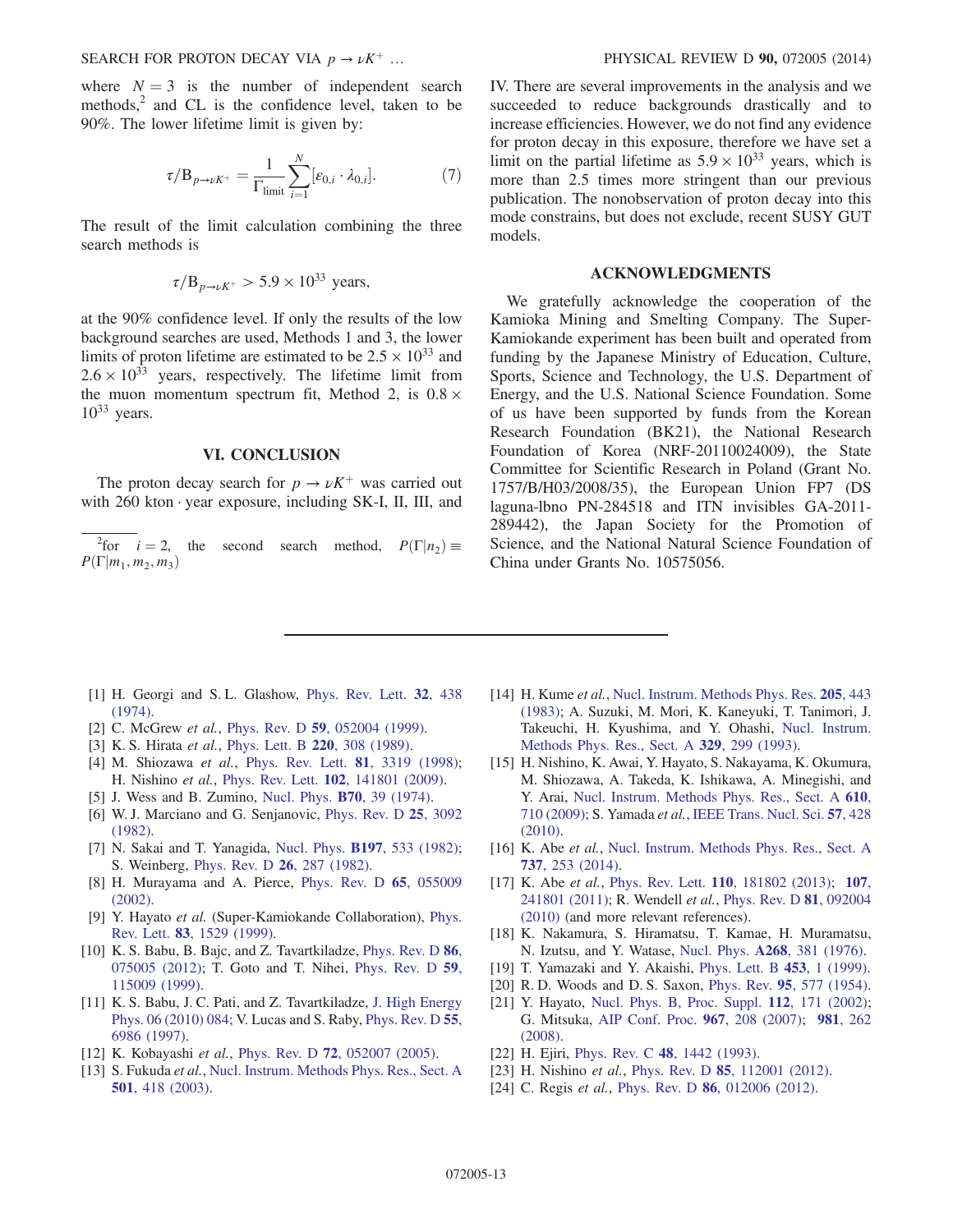where  $N = 3$  is the number of independent search methods, $<sup>2</sup>$  and CL is the confidence level, taken to be</sup> 90%. The lower lifetime limit is given by:

$$
\tau/B_{p\to\nu K^+} = \frac{1}{\Gamma_{\text{limit}}} \sum_{i=1}^N [\varepsilon_{0,i} \cdot \lambda_{0,i}]. \tag{7}
$$

The result of the limit calculation combining the three search methods is

$$
\tau/B_{p\to\nu K^+} > 5.9 \times 10^{33} \text{ years},
$$

at the 90% confidence level. If only the results of the low background searches are used, Methods 1 and 3, the lower limits of proton lifetime are estimated to be  $2.5 \times 10^{33}$  and  $2.6 \times 10^{33}$  years, respectively. The lifetime limit from the muon momentum spectrum fit, Method 2, is  $0.8 \times$  $10^{33}$  years.

### VI. CONCLUSION

The proton decay search for  $p \to \nu K^+$  was carried out with  $260$  kton  $\cdot$  year exposure, including SK-I, II, III, and

<sup>2</sup>for  $i = 2$ , the second search method,  $P(\Gamma | n_2) \equiv$  $P(\Gamma|m_1, m_2, m_3)$ 

IV. There are several improvements in the analysis and we succeeded to reduce backgrounds drastically and to increase efficiencies. However, we do not find any evidence for proton decay in this exposure, therefore we have set a limit on the partial lifetime as  $5.9 \times 10^{33}$  years, which is more than 2.5 times more stringent than our previous publication. The nonobservation of proton decay into this mode constrains, but does not exclude, recent SUSY GUT models.

### ACKNOWLEDGMENTS

We gratefully acknowledge the cooperation of the Kamioka Mining and Smelting Company. The Super-Kamiokande experiment has been built and operated from funding by the Japanese Ministry of Education, Culture, Sports, Science and Technology, the U.S. Department of Energy, and the U.S. National Science Foundation. Some of us have been supported by funds from the Korean Research Foundation (BK21), the National Research Foundation of Korea (NRF-20110024009), the State Committee for Scientific Research in Poland (Grant No. 1757/B/H03/2008/35), the European Union FP7 (DS laguna-lbno PN-284518 and ITN invisibles GA-2011- 289442), the Japan Society for the Promotion of Science, and the National Natural Science Foundation of China under Grants No. 10575056.

- <span id="page-12-0"></span>[1] H. Georgi and S.L. Glashow, [Phys. Rev. Lett.](http://dx.doi.org/10.1103/PhysRevLett.32.438) 32, 438 [\(1974\).](http://dx.doi.org/10.1103/PhysRevLett.32.438)
- <span id="page-12-1"></span>[2] C. McGrew et al., Phys. Rev. D 59[, 052004 \(1999\).](http://dx.doi.org/10.1103/PhysRevD.59.052004)
- <span id="page-12-2"></span>[3] K. S. Hirata et al., [Phys. Lett. B](http://dx.doi.org/10.1016/0370-2693(89)90058-0) 220, 308 (1989).
- <span id="page-12-3"></span>[4] M. Shiozawa et al., [Phys. Rev. Lett.](http://dx.doi.org/10.1103/PhysRevLett.81.3319) 81, 3319 (1998); H. Nishino et al., Phys. Rev. Lett. 102[, 141801 \(2009\)](http://dx.doi.org/10.1103/PhysRevLett.102.141801).
- <span id="page-12-4"></span>[5] J. Wess and B. Zumino, [Nucl. Phys.](http://dx.doi.org/10.1016/0550-3213(74)90355-1) B70, 39 (1974).
- <span id="page-12-5"></span>[6] W. J. Marciano and G. Senjanovic, [Phys. Rev. D](http://dx.doi.org/10.1103/PhysRevD.25.3092) 25, 3092 [\(1982\).](http://dx.doi.org/10.1103/PhysRevD.25.3092)
- <span id="page-12-6"></span>[7] N. Sakai and T. Yanagida, Nucl. Phys. **B197**[, 533 \(1982\)](http://dx.doi.org/10.1016/0550-3213(82)90457-6); S. Weinberg, [Phys. Rev. D](http://dx.doi.org/10.1103/PhysRevD.26.287) 26, 287 (1982).
- <span id="page-12-7"></span>[8] H. Murayama and A. Pierce, [Phys. Rev. D](http://dx.doi.org/10.1103/PhysRevD.65.055009) 65, 055009 [\(2002\).](http://dx.doi.org/10.1103/PhysRevD.65.055009)
- <span id="page-12-21"></span>[9] Y. Hayato et al. (Super-Kamiokande Collaboration), [Phys.](http://dx.doi.org/10.1103/PhysRevLett.83.1529) Rev. Lett. 83[, 1529 \(1999\)](http://dx.doi.org/10.1103/PhysRevLett.83.1529).
- <span id="page-12-8"></span>[10] K. S. Babu, B. Bajc, and Z. Tavartkiladze, [Phys. Rev. D](http://dx.doi.org/10.1103/PhysRevD.86.075005) 86, [075005 \(2012\);](http://dx.doi.org/10.1103/PhysRevD.86.075005) T. Goto and T. Nihei, [Phys. Rev. D](http://dx.doi.org/10.1103/PhysRevD.59.115009) 59, [115009 \(1999\).](http://dx.doi.org/10.1103/PhysRevD.59.115009)
- <span id="page-12-9"></span>[11] K. S. Babu, J. C. Pati, and Z. Tavartkiladze, [J. High Energy](http://dx.doi.org/10.1007/JHEP06(2010)084) [Phys. 06 \(2010\) 084;](http://dx.doi.org/10.1007/JHEP06(2010)084) V. Lucas and S. Raby, [Phys. Rev. D](http://dx.doi.org/10.1103/PhysRevD.55.6986) 55, [6986 \(1997\)](http://dx.doi.org/10.1103/PhysRevD.55.6986).
- <span id="page-12-10"></span>[12] K. Kobayashi et al., Phys. Rev. D 72[, 052007 \(2005\).](http://dx.doi.org/10.1103/PhysRevD.72.052007)
- <span id="page-12-11"></span>[13] S. Fukuda et al., [Nucl. Instrum. Methods Phys. Res., Sect. A](http://dx.doi.org/10.1016/S0168-9002(03)00425-X) 501[, 418 \(2003\)](http://dx.doi.org/10.1016/S0168-9002(03)00425-X).
- <span id="page-12-12"></span>[14] H. Kume et al., [Nucl. Instrum. Methods Phys. Res.](http://dx.doi.org/10.1016/0167-5087(83)90007-8) 205, 443 [\(1983\);](http://dx.doi.org/10.1016/0167-5087(83)90007-8) A. Suzuki, M. Mori, K. Kaneyuki, T. Tanimori, J. Takeuchi, H. Kyushima, and Y. Ohashi, [Nucl. Instrum.](http://dx.doi.org/10.1016/0168-9002(93)90949-I) [Methods Phys. Res., Sect. A](http://dx.doi.org/10.1016/0168-9002(93)90949-I) 329, 299 (1993).
- <span id="page-12-13"></span>[15] H. Nishino, K. Awai, Y. Hayato, S. Nakayama, K. Okumura, M. Shiozawa, A. Takeda, K. Ishikawa, A. Minegishi, and Y. Arai, [Nucl. Instrum. Methods Phys. Res., Sect. A](http://dx.doi.org/10.1016/j.nima.2009.09.026) 610, [710 \(2009\)](http://dx.doi.org/10.1016/j.nima.2009.09.026); S. Yamada et al., [IEEE Trans. Nucl. Sci.](http://dx.doi.org/10.1109/TNS.2009.2034854) 57, 428 [\(2010\).](http://dx.doi.org/10.1109/TNS.2009.2034854)
- <span id="page-12-14"></span>[16] K. Abe et al., [Nucl. Instrum. Methods Phys. Res., Sect. A](http://dx.doi.org/10.1016/j.nima.2013.11.081) 737[, 253 \(2014\)](http://dx.doi.org/10.1016/j.nima.2013.11.081).
- <span id="page-12-15"></span>[17] K. Abe et al., Phys. Rev. Lett. 110[, 181802 \(2013\)](http://dx.doi.org/10.1103/PhysRevLett.110.181802); [107](http://dx.doi.org/10.1103/PhysRevLett.107.241801), [241801 \(2011\);](http://dx.doi.org/10.1103/PhysRevLett.107.241801) R. Wendell et al., [Phys. Rev. D](http://dx.doi.org/10.1103/PhysRevD.81.092004) 81, 092004 [\(2010\)](http://dx.doi.org/10.1103/PhysRevD.81.092004) (and more relevant references).
- <span id="page-12-16"></span>[18] K. Nakamura, S. Hiramatsu, T. Kamae, H. Muramatsu, N. Izutsu, and Y. Watase, Nucl. Phys. A268[, 381 \(1976\).](http://dx.doi.org/10.1016/0375-9474(76)90539-X)
- <span id="page-12-17"></span>[19] T. Yamazaki and Y. Akaishi, [Phys. Lett. B](http://dx.doi.org/10.1016/S0370-2693(99)00163-X) 453, 1 (1999).
- <span id="page-12-18"></span>[20] R. D. Woods and D. S. Saxon, Phys. Rev. 95[, 577 \(1954\).](http://dx.doi.org/10.1103/PhysRev.95.577)
- <span id="page-12-19"></span>[21] Y. Hayato, [Nucl. Phys. B, Proc. Suppl.](http://dx.doi.org/10.1016/S0920-5632(02)01759-0) 112, 171 (2002); G. Mitsuka, [AIP Conf. Proc.](http://dx.doi.org/10.1063/1.2834480) 967, 208 (2007); 981[, 262](http://dx.doi.org/10.1063/1.2898954) [\(2008\).](http://dx.doi.org/10.1063/1.2898954)
- <span id="page-12-20"></span>[22] H. Ejiri, Phys. Rev. C **48**[, 1442 \(1993\)](http://dx.doi.org/10.1103/PhysRevC.48.1442).
- [23] H. Nishino et al., Phys. Rev. D 85[, 112001 \(2012\).](http://dx.doi.org/10.1103/PhysRevD.85.112001)
- [24] C. Regis et al., Phys. Rev. D 86[, 012006 \(2012\).](http://dx.doi.org/10.1103/PhysRevD.86.012006)